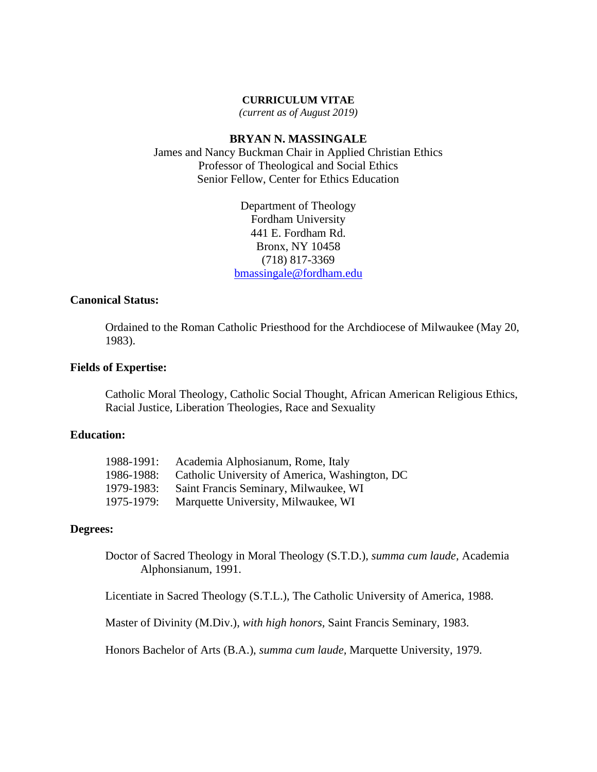#### **CURRICULUM VITAE**

*(current as of August 2019)*

## **BRYAN N. MASSINGALE**

James and Nancy Buckman Chair in Applied Christian Ethics Professor of Theological and Social Ethics Senior Fellow, Center for Ethics Education

> Department of Theology Fordham University 441 E. Fordham Rd. Bronx, NY 10458 (718) 817-3369 [bmassingale@fordham.edu](mailto:bmassingale@fordham.edu)

## **Canonical Status:**

Ordained to the Roman Catholic Priesthood for the Archdiocese of Milwaukee (May 20, 1983).

### **Fields of Expertise:**

Catholic Moral Theology, Catholic Social Thought, African American Religious Ethics, Racial Justice, Liberation Theologies, Race and Sexuality

## **Education:**

| 1988-1991: | Academia Alphosianum, Rome, Italy              |
|------------|------------------------------------------------|
| 1986-1988: | Catholic University of America, Washington, DC |
| 1979-1983: | Saint Francis Seminary, Milwaukee, WI          |
| 1975-1979: | Marquette University, Milwaukee, WI            |

#### **Degrees:**

Doctor of Sacred Theology in Moral Theology (S.T.D.), *summa cum laude,* Academia Alphonsianum, 1991.

Licentiate in Sacred Theology (S.T.L.), The Catholic University of America, 1988.

Master of Divinity (M.Div.), *with high honors,* Saint Francis Seminary, 1983.

Honors Bachelor of Arts (B.A.), *summa cum laude,* Marquette University, 1979.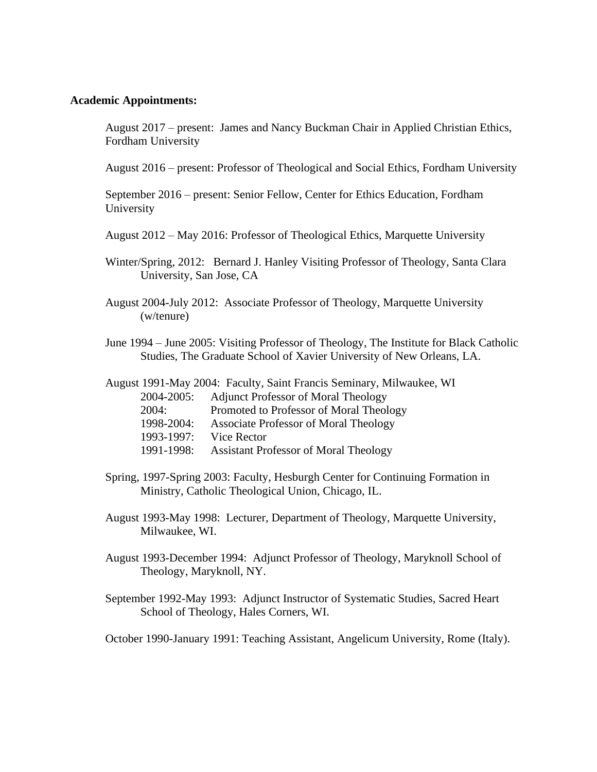#### **Academic Appointments:**

August 2017 – present: James and Nancy Buckman Chair in Applied Christian Ethics, Fordham University

August 2016 – present: Professor of Theological and Social Ethics, Fordham University

September 2016 – present: Senior Fellow, Center for Ethics Education, Fordham University

August 2012 – May 2016: Professor of Theological Ethics, Marquette University

- Winter/Spring, 2012: Bernard J. Hanley Visiting Professor of Theology, Santa Clara University, San Jose, CA
- August 2004-July 2012: Associate Professor of Theology, Marquette University (w/tenure)
- June 1994 June 2005: Visiting Professor of Theology, The Institute for Black Catholic Studies, The Graduate School of Xavier University of New Orleans, LA.

|            | August 1991-May 2004: Faculty, Saint Francis Seminary, Milwaukee, WI |
|------------|----------------------------------------------------------------------|
| 2004-2005: | <b>Adjunct Professor of Moral Theology</b>                           |
| 2004:      | Promoted to Professor of Moral Theology                              |
| 1998-2004: | <b>Associate Professor of Moral Theology</b>                         |
| 1993-1997: | Vice Rector                                                          |
| 1991-1998: | <b>Assistant Professor of Moral Theology</b>                         |

- Spring, 1997-Spring 2003: Faculty, Hesburgh Center for Continuing Formation in Ministry, Catholic Theological Union, Chicago, IL.
- August 1993-May 1998: Lecturer, Department of Theology, Marquette University, Milwaukee, WI.
- August 1993-December 1994: Adjunct Professor of Theology, Maryknoll School of Theology, Maryknoll, NY.
- September 1992-May 1993: Adjunct Instructor of Systematic Studies, Sacred Heart School of Theology, Hales Corners, WI.

October 1990-January 1991: Teaching Assistant, Angelicum University, Rome (Italy).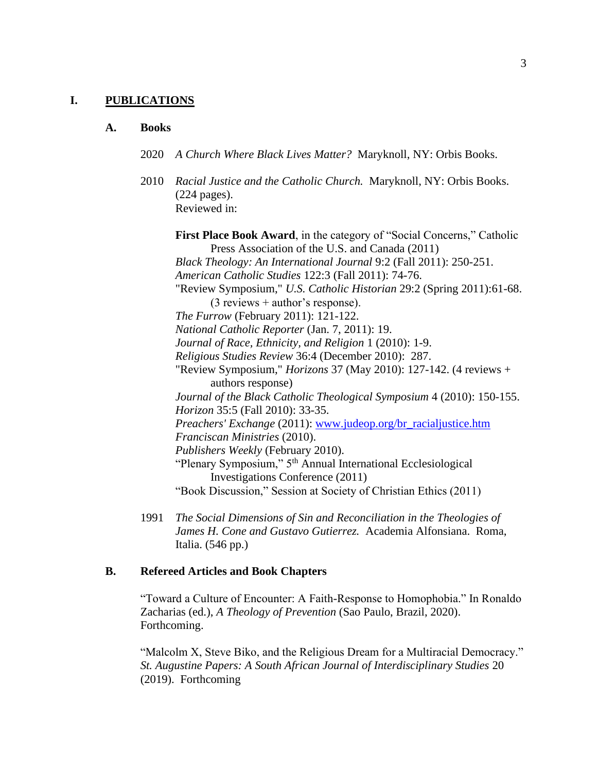#### **I. PUBLICATIONS**

#### **A. Books**

- 2020 *A Church Where Black Lives Matter?* Maryknoll, NY: Orbis Books.
- 2010 *Racial Justice and the Catholic Church.* Maryknoll, NY: Orbis Books. (224 pages). Reviewed in:

First Place Book Award, in the category of "Social Concerns," Catholic Press Association of the U.S. and Canada (2011) *Black Theology: An International Journal* 9:2 (Fall 2011): 250-251. *American Catholic Studies* 122:3 (Fall 2011): 74-76. "Review Symposium," *U.S. Catholic Historian* 29:2 (Spring 2011):61-68. (3 reviews + author's response). *The Furrow* (February 2011): 121-122. *National Catholic Reporter* (Jan. 7, 2011): 19. *Journal of Race, Ethnicity, and Religion* 1 (2010): 1-9. *Religious Studies Review* 36:4 (December 2010): 287. "Review Symposium," *Horizons* 37 (May 2010): 127-142. (4 reviews + authors response) *Journal of the Black Catholic Theological Symposium* 4 (2010): 150-155. *Horizon* 35:5 (Fall 2010): 33-35. *Preachers' Exchange* (2011): [www.judeop.org/br\\_racialjustice.htm](http://www.judeop.org/br_racialjustice.htm) *Franciscan Ministries* (2010). *Publishers Weekly* (February 2010). "Plenary Symposium," 5<sup>th</sup> Annual International Ecclesiological Investigations Conference (2011) "Book Discussion," Session at Society of Christian Ethics (2011)

1991 *The Social Dimensions of Sin and Reconciliation in the Theologies of James H. Cone and Gustavo Gutierrez.* Academia Alfonsiana. Roma, Italia. (546 pp.)

## **B. Refereed Articles and Book Chapters**

"Toward a Culture of Encounter: A Faith-Response to Homophobia." In Ronaldo Zacharias (ed.), *A Theology of Prevention* (Sao Paulo, Brazil, 2020). Forthcoming.

"Malcolm X, Steve Biko, and the Religious Dream for a Multiracial Democracy." *St. Augustine Papers: A South African Journal of Interdisciplinary Studies* 20 (2019). Forthcoming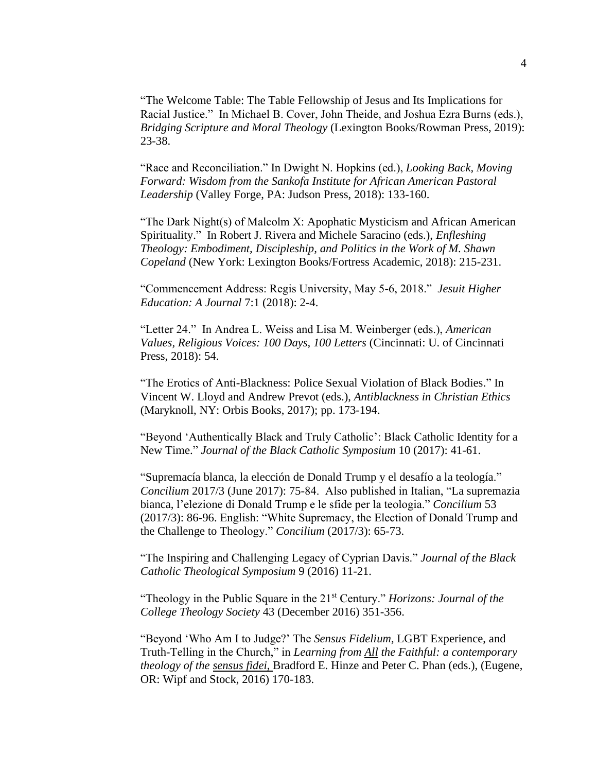"The Welcome Table: The Table Fellowship of Jesus and Its Implications for Racial Justice." In Michael B. Cover, John Theide, and Joshua Ezra Burns (eds.), *Bridging Scripture and Moral Theology* (Lexington Books/Rowman Press, 2019): 23-38.

"Race and Reconciliation." In Dwight N. Hopkins (ed.), *Looking Back, Moving Forward: Wisdom from the Sankofa Institute for African American Pastoral Leadership* (Valley Forge, PA: Judson Press, 2018): 133-160.

"The Dark Night(s) of Malcolm X: Apophatic Mysticism and African American Spirituality." In Robert J. Rivera and Michele Saracino (eds.), *Enfleshing Theology: Embodiment, Discipleship, and Politics in the Work of M. Shawn Copeland* (New York: Lexington Books/Fortress Academic, 2018): 215-231.

"Commencement Address: Regis University, May 5-6, 2018." *Jesuit Higher Education: A Journal* 7:1 (2018): 2-4.

"Letter 24." In Andrea L. Weiss and Lisa M. Weinberger (eds.), *American Values, Religious Voices: 100 Days, 100 Letters* (Cincinnati: U. of Cincinnati Press, 2018): 54.

"The Erotics of Anti-Blackness: Police Sexual Violation of Black Bodies." In Vincent W. Lloyd and Andrew Prevot (eds.), *Antiblackness in Christian Ethics* (Maryknoll, NY: Orbis Books, 2017); pp. 173-194.

"Beyond 'Authentically Black and Truly Catholic': Black Catholic Identity for a New Time." *Journal of the Black Catholic Symposium* 10 (2017): 41-61.

"Supremacía blanca, la elección de Donald Trump y el desafío a la teología." *Concilium* 2017/3 (June 2017): 75-84. Also published in Italian, "La supremazia bianca, l'elezione di Donald Trump e le sfide per la teologia." *Concilium* 53 (2017/3): 86-96. English: "White Supremacy, the Election of Donald Trump and the Challenge to Theology." *Concilium* (2017/3): 65-73.

"The Inspiring and Challenging Legacy of Cyprian Davis." *Journal of the Black Catholic Theological Symposium* 9 (2016) 11-21.

"Theology in the Public Square in the 21st Century." *Horizons: Journal of the College Theology Society* 43 (December 2016) 351-356.

"Beyond 'Who Am I to Judge?' The *Sensus Fidelium,* LGBT Experience, and Truth-Telling in the Church," in *Learning from All the Faithful: a contemporary theology of the sensus fidei*, Bradford E. Hinze and Peter C. Phan (eds.), (Eugene, OR: Wipf and Stock, 2016) 170-183.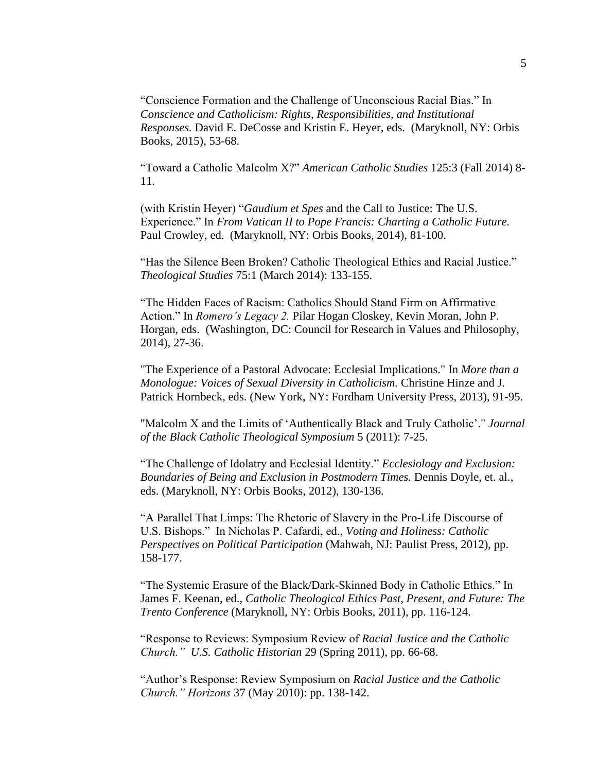"Conscience Formation and the Challenge of Unconscious Racial Bias." In *Conscience and Catholicism: Rights, Responsibilities, and Institutional Responses.* David E. DeCosse and Kristin E. Heyer, eds. (Maryknoll, NY: Orbis Books, 2015), 53-68.

"Toward a Catholic Malcolm X?" *American Catholic Studies* 125:3 (Fall 2014) 8- 11.

(with Kristin Heyer) "*Gaudium et Spes* and the Call to Justice: The U.S. Experience." In *From Vatican II to Pope Francis: Charting a Catholic Future.* Paul Crowley, ed. (Maryknoll, NY: Orbis Books, 2014), 81-100.

"Has the Silence Been Broken? Catholic Theological Ethics and Racial Justice." *Theological Studies* 75:1 (March 2014): 133-155.

"The Hidden Faces of Racism: Catholics Should Stand Firm on Affirmative Action." In *Romero's Legacy 2.* Pilar Hogan Closkey, Kevin Moran, John P. Horgan, eds. (Washington, DC: Council for Research in Values and Philosophy, 2014), 27-36.

"The Experience of a Pastoral Advocate: Ecclesial Implications." In *More than a Monologue: Voices of Sexual Diversity in Catholicism.* Christine Hinze and J. Patrick Hornbeck, eds. (New York, NY: Fordham University Press, 2013), 91-95.

"Malcolm X and the Limits of 'Authentically Black and Truly Catholic'." *Journal of the Black Catholic Theological Symposium* 5 (2011): 7-25.

"The Challenge of Idolatry and Ecclesial Identity." *Ecclesiology and Exclusion: Boundaries of Being and Exclusion in Postmodern Times.* Dennis Doyle, et. al., eds. (Maryknoll, NY: Orbis Books, 2012), 130-136.

"A Parallel That Limps: The Rhetoric of Slavery in the Pro-Life Discourse of U.S. Bishops." In Nicholas P. Cafardi, ed., *Voting and Holiness: Catholic Perspectives on Political Participation* (Mahwah, NJ: Paulist Press, 2012), pp. 158-177.

"The Systemic Erasure of the Black/Dark-Skinned Body in Catholic Ethics." In James F. Keenan, ed., *Catholic Theological Ethics Past, Present, and Future: The Trento Conference* (Maryknoll, NY: Orbis Books, 2011), pp. 116-124.

"Response to Reviews: Symposium Review of *Racial Justice and the Catholic Church." U.S. Catholic Historian* 29 (Spring 2011), pp. 66-68.

"Author's Response: Review Symposium on *Racial Justice and the Catholic Church." Horizons* 37 (May 2010): pp. 138-142.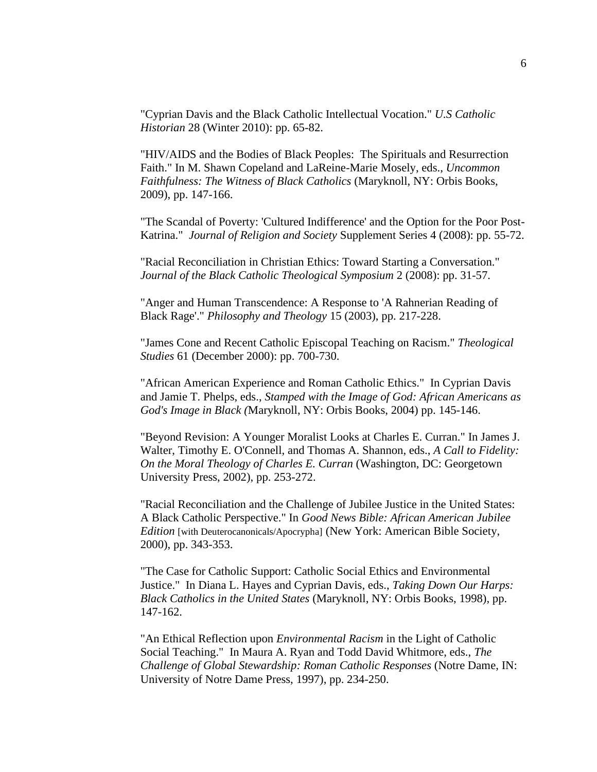"Cyprian Davis and the Black Catholic Intellectual Vocation." *U.S Catholic Historian* 28 (Winter 2010): pp. 65-82.

"HIV/AIDS and the Bodies of Black Peoples: The Spirituals and Resurrection Faith." In M. Shawn Copeland and LaReine-Marie Mosely, eds., *Uncommon Faithfulness: The Witness of Black Catholics* (Maryknoll, NY: Orbis Books, 2009), pp. 147-166.

"The Scandal of Poverty: 'Cultured Indifference' and the Option for the Poor Post-Katrina." *Journal of Religion and Society* Supplement Series 4 (2008): pp. 55-72.

"Racial Reconciliation in Christian Ethics: Toward Starting a Conversation." *Journal of the Black Catholic Theological Symposium* 2 (2008): pp. 31-57.

"Anger and Human Transcendence: A Response to 'A Rahnerian Reading of Black Rage'." *Philosophy and Theology* 15 (2003), pp. 217-228.

"James Cone and Recent Catholic Episcopal Teaching on Racism." *Theological Studies* 61 (December 2000): pp. 700-730.

"African American Experience and Roman Catholic Ethics." In Cyprian Davis and Jamie T. Phelps, eds., *Stamped with the Image of God: African Americans as God's Image in Black (*Maryknoll, NY: Orbis Books, 2004) pp. 145-146.

"Beyond Revision: A Younger Moralist Looks at Charles E. Curran." In James J. Walter, Timothy E. O'Connell, and Thomas A. Shannon, eds., *A Call to Fidelity: On the Moral Theology of Charles E. Curran* (Washington, DC: Georgetown University Press, 2002), pp. 253-272.

"Racial Reconciliation and the Challenge of Jubilee Justice in the United States: A Black Catholic Perspective." In *Good News Bible: African American Jubilee Edition* [with Deuterocanonicals/Apocrypha] (New York: American Bible Society, 2000), pp. 343-353.

"The Case for Catholic Support: Catholic Social Ethics and Environmental Justice." In Diana L. Hayes and Cyprian Davis, eds., *Taking Down Our Harps: Black Catholics in the United States* (Maryknoll, NY: Orbis Books, 1998), pp. 147-162.

"An Ethical Reflection upon *Environmental Racism* in the Light of Catholic Social Teaching." In Maura A. Ryan and Todd David Whitmore, eds., *The Challenge of Global Stewardship: Roman Catholic Responses* (Notre Dame, IN: University of Notre Dame Press, 1997), pp. 234-250.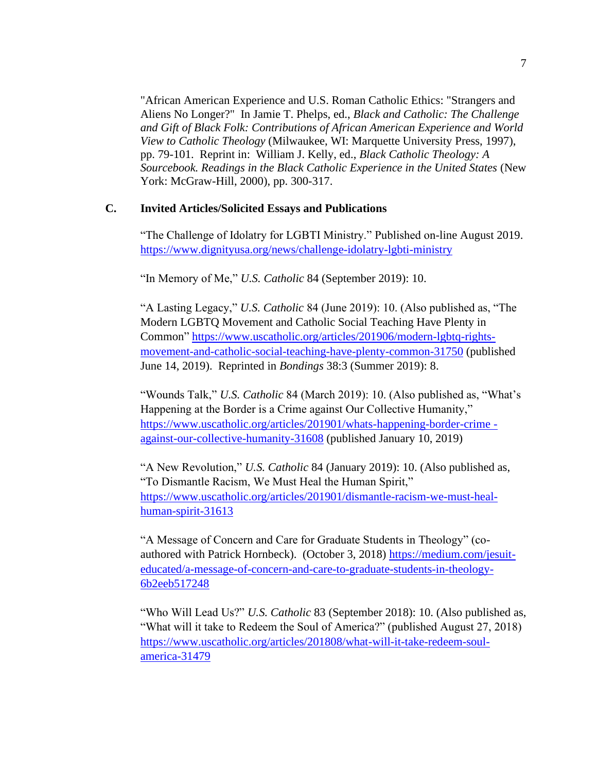"African American Experience and U.S. Roman Catholic Ethics: "Strangers and Aliens No Longer?" In Jamie T. Phelps, ed., *Black and Catholic: The Challenge and Gift of Black Folk: Contributions of African American Experience and World View to Catholic Theology* (Milwaukee, WI: Marquette University Press, 1997), pp. 79-101. Reprint in: William J. Kelly, ed., *Black Catholic Theology: A Sourcebook. Readings in the Black Catholic Experience in the United States* (New York: McGraw-Hill, 2000), pp. 300-317.

## **C. Invited Articles/Solicited Essays and Publications**

"The Challenge of Idolatry for LGBTI Ministry." Published on-line August 2019. <https://www.dignityusa.org/news/challenge-idolatry-lgbti-ministry>

"In Memory of Me," *U.S. Catholic* 84 (September 2019): 10.

"A Lasting Legacy," *U.S. Catholic* 84 (June 2019): 10. (Also published as, "The Modern LGBTQ Movement and Catholic Social Teaching Have Plenty in Common" [https://www.uscatholic.org/articles/201906/modern-lgbtq-rights](https://www.uscatholic.org/articles/201906/modern-lgbtq-rights-movement-and-catholic-social-teaching-have-plenty-common-31750)[movement-and-catholic-social-teaching-have-plenty-common-31750](https://www.uscatholic.org/articles/201906/modern-lgbtq-rights-movement-and-catholic-social-teaching-have-plenty-common-31750) (published June 14, 2019). Reprinted in *Bondings* 38:3 (Summer 2019): 8.

"Wounds Talk," *U.S. Catholic* 84 (March 2019): 10. (Also published as, "What's Happening at the Border is a Crime against Our Collective Humanity," [https://www.uscatholic.org/articles/201901/whats-happening-border-crime](https://www.uscatholic.org/articles/201901/whats-happening-border-crime%20-against-our-collective-humanity-31608)  [against-our-collective-humanity-31608](https://www.uscatholic.org/articles/201901/whats-happening-border-crime%20-against-our-collective-humanity-31608) (published January 10, 2019)

"A New Revolution," *U.S. Catholic* 84 (January 2019): 10. (Also published as, "To Dismantle Racism, We Must Heal the Human Spirit," [https://www.uscatholic.org/articles/201901/dismantle-racism-we-must-heal](https://www.uscatholic.org/articles/201901/dismantle-racism-we-must-heal-human-spirit-31613)[human-spirit-31613](https://www.uscatholic.org/articles/201901/dismantle-racism-we-must-heal-human-spirit-31613)

"A Message of Concern and Care for Graduate Students in Theology" (coauthored with Patrick Hornbeck). (October 3, 2018) [https://medium.com/jesuit](https://medium.com/jesuit-educated/a-message-of-concern-and-care-to-graduate-students-in-theology-6b2eeb517248)[educated/a-message-of-concern-and-care-to-graduate-students-in-theology-](https://medium.com/jesuit-educated/a-message-of-concern-and-care-to-graduate-students-in-theology-6b2eeb517248)[6b2eeb517248](https://medium.com/jesuit-educated/a-message-of-concern-and-care-to-graduate-students-in-theology-6b2eeb517248)

"Who Will Lead Us?" *U.S. Catholic* 83 (September 2018): 10. (Also published as, "What will it take to Redeem the Soul of America?" (published August 27, 2018) [https://www.uscatholic.org/articles/201808/what-will-it-take-redeem-soul](https://www.uscatholic.org/articles/201808/what-will-it-take-redeem-soul-america-31479)[america-31479](https://www.uscatholic.org/articles/201808/what-will-it-take-redeem-soul-america-31479)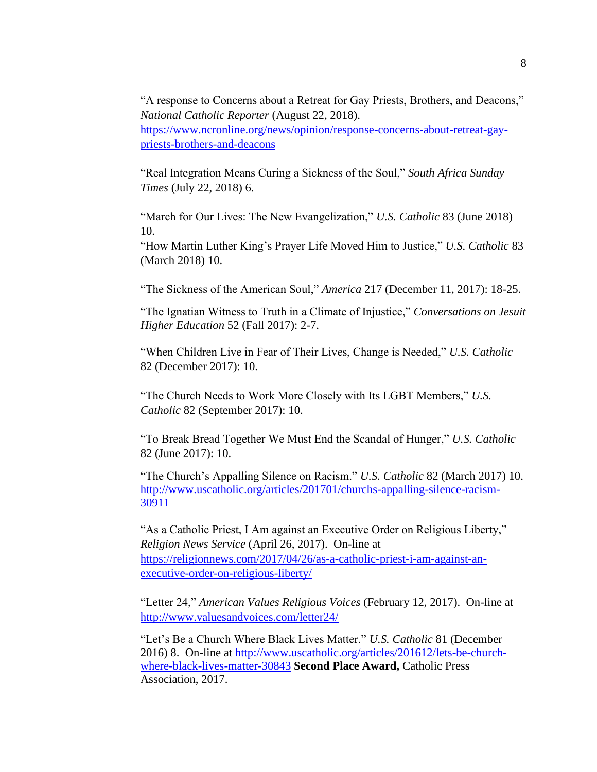"A response to Concerns about a Retreat for Gay Priests, Brothers, and Deacons," *National Catholic Reporter* (August 22, 2018). [https://www.ncronline.org/news/opinion/response-concerns-about-retreat-gay](https://www.ncronline.org/news/opinion/response-concerns-about-retreat-gay-priests-brothers-and-deacons)[priests-brothers-and-deacons](https://www.ncronline.org/news/opinion/response-concerns-about-retreat-gay-priests-brothers-and-deacons)

"Real Integration Means Curing a Sickness of the Soul," *South Africa Sunday Times* (July 22, 2018) 6.

"March for Our Lives: The New Evangelization," *U.S. Catholic* 83 (June 2018) 10.

"How Martin Luther King's Prayer Life Moved Him to Justice," *U.S. Catholic* 83 (March 2018) 10.

"The Sickness of the American Soul," *America* 217 (December 11, 2017): 18-25.

"The Ignatian Witness to Truth in a Climate of Injustice," *Conversations on Jesuit Higher Education* 52 (Fall 2017): 2-7.

"When Children Live in Fear of Their Lives, Change is Needed," *U.S. Catholic* 82 (December 2017): 10.

"The Church Needs to Work More Closely with Its LGBT Members," *U.S. Catholic* 82 (September 2017): 10.

"To Break Bread Together We Must End the Scandal of Hunger," *U.S. Catholic* 82 (June 2017): 10.

"The Church's Appalling Silence on Racism." *U.S. Catholic* 82 (March 2017) 10. [http://www.uscatholic.org/articles/201701/churchs-appalling-silence-racism-](http://www.uscatholic.org/articles/201701/churchs-appalling-silence-racism-30911)[30911](http://www.uscatholic.org/articles/201701/churchs-appalling-silence-racism-30911)

"As a Catholic Priest, I Am against an Executive Order on Religious Liberty," *Religion News Service* (April 26, 2017). On-line at [https://religionnews.com/2017/04/26/as-a-catholic-priest-i-am-against-an](https://religionnews.com/2017/04/26/as-a-catholic-priest-i-am-against-an-executive-order-on-religious-liberty/)[executive-order-on-religious-liberty/](https://religionnews.com/2017/04/26/as-a-catholic-priest-i-am-against-an-executive-order-on-religious-liberty/)

"Letter 24," *American Values Religious Voices* (February 12, 2017). On-line at <http://www.valuesandvoices.com/letter24/>

"Let's Be a Church Where Black Lives Matter." *U.S. Catholic* 81 (December 2016) 8. On-line at [http://www.uscatholic.org/articles/201612/lets-be-church](http://www.uscatholic.org/articles/201612/lets-be-church-where-black-lives-matter-30843)[where-black-lives-matter-30843](http://www.uscatholic.org/articles/201612/lets-be-church-where-black-lives-matter-30843) **Second Place Award,** Catholic Press Association, 2017.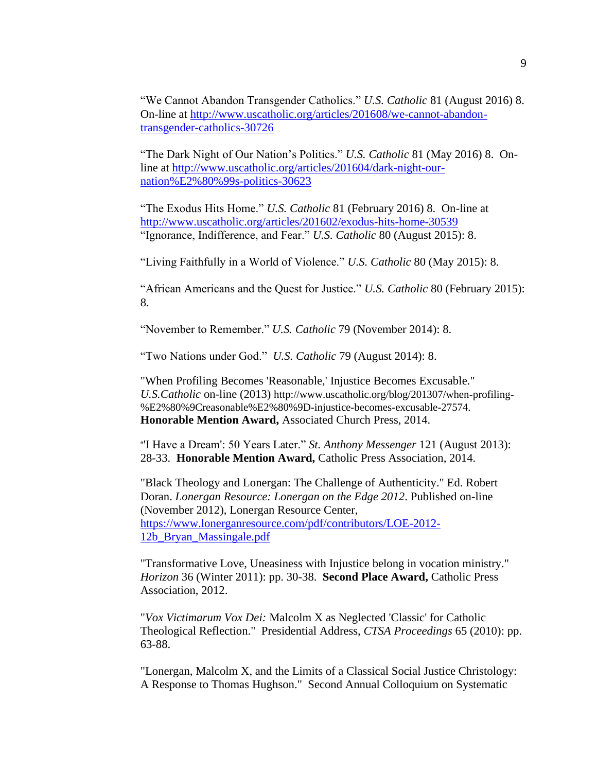"We Cannot Abandon Transgender Catholics." *U.S. Catholic* 81 (August 2016) 8. On-line at [http://www.uscatholic.org/articles/201608/we-cannot-abandon](http://www.uscatholic.org/articles/201608/we-cannot-abandon-transgender-catholics-30726)[transgender-catholics-30726](http://www.uscatholic.org/articles/201608/we-cannot-abandon-transgender-catholics-30726)

"The Dark Night of Our Nation's Politics." *U.S. Catholic* 81 (May 2016) 8. Online at [http://www.uscatholic.org/articles/201604/dark-night-our](http://www.uscatholic.org/articles/201604/dark-night-our-nation%E2%80%99s-politics-30623)[nation%E2%80%99s-politics-30623](http://www.uscatholic.org/articles/201604/dark-night-our-nation%E2%80%99s-politics-30623)

"The Exodus Hits Home." *U.S. Catholic* 81 (February 2016) 8. On-line at <http://www.uscatholic.org/articles/201602/exodus-hits-home-30539> "Ignorance, Indifference, and Fear." *U.S. Catholic* 80 (August 2015): 8.

"Living Faithfully in a World of Violence." *U.S. Catholic* 80 (May 2015): 8.

"African Americans and the Quest for Justice." *U.S. Catholic* 80 (February 2015): 8.

"November to Remember." *U.S. Catholic* 79 (November 2014): 8.

"Two Nations under God." *U.S. Catholic* 79 (August 2014): 8.

"When Profiling Becomes 'Reasonable,' Injustice Becomes Excusable." *U.S.Catholic* on-line (2013) http://www.uscatholic.org/blog/201307/when-profiling- %E2%80%9Creasonable%E2%80%9D-injustice-becomes-excusable-27574. **Honorable Mention Award,** Associated Church Press, 2014.

"'I Have a Dream': 50 Years Later." *St. Anthony Messenger* 121 (August 2013): 28-33. **Honorable Mention Award,** Catholic Press Association, 2014.

"Black Theology and Lonergan: The Challenge of Authenticity." Ed. Robert Doran. *Lonergan Resource: Lonergan on the Edge 2012*. Published on-line (November 2012), Lonergan Resource Center, [https://www.lonerganresource.com/pdf/contributors/LOE-2012-](https://www.lonerganresource.com/pdf/contributors/LOE-2012-12b_Bryan_Massingale.pdf) [12b\\_Bryan\\_Massingale.pdf](https://www.lonerganresource.com/pdf/contributors/LOE-2012-12b_Bryan_Massingale.pdf)

"Transformative Love, Uneasiness with Injustice belong in vocation ministry." *Horizon* 36 (Winter 2011): pp. 30-38. **Second Place Award,** Catholic Press Association, 2012.

"*Vox Victimarum Vox Dei:* Malcolm X as Neglected 'Classic' for Catholic Theological Reflection." Presidential Address, *CTSA Proceedings* 65 (2010): pp. 63-88.

"Lonergan, Malcolm X, and the Limits of a Classical Social Justice Christology: A Response to Thomas Hughson." Second Annual Colloquium on Systematic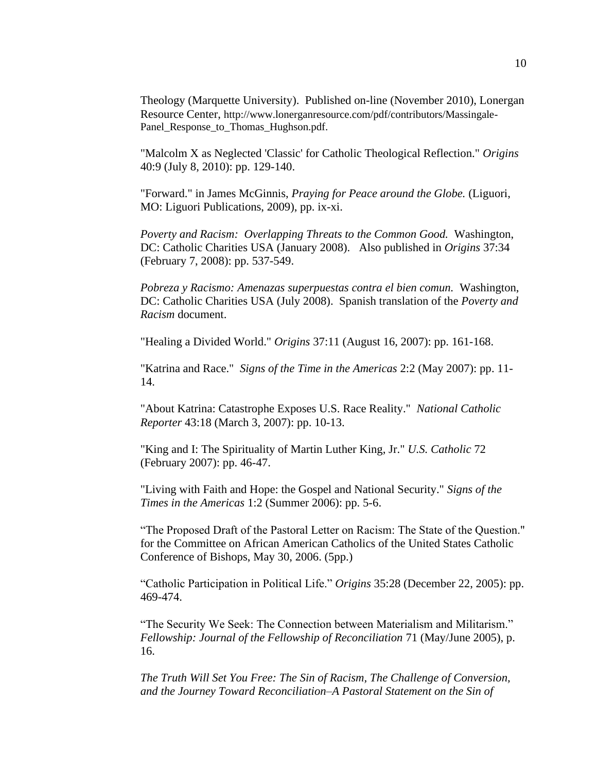Theology (Marquette University). Published on-line (November 2010), Lonergan Resource Center, http://www.lonerganresource.com/pdf/contributors/Massingale-Panel\_Response\_to\_Thomas\_Hughson.pdf.

"Malcolm X as Neglected 'Classic' for Catholic Theological Reflection." *Origins* 40:9 (July 8, 2010): pp. 129-140.

"Forward." in James McGinnis, *Praying for Peace around the Globe.* (Liguori, MO: Liguori Publications, 2009), pp. ix-xi.

*Poverty and Racism: Overlapping Threats to the Common Good.* Washington, DC: Catholic Charities USA (January 2008). Also published in *Origins* 37:34 (February 7, 2008): pp. 537-549.

*Pobreza y Racismo: Amenazas superpuestas contra el bien comun.* Washington, DC: Catholic Charities USA (July 2008). Spanish translation of the *Poverty and Racism* document.

"Healing a Divided World." *Origins* 37:11 (August 16, 2007): pp. 161-168.

"Katrina and Race." *Signs of the Time in the Americas* 2:2 (May 2007): pp. 11- 14.

"About Katrina: Catastrophe Exposes U.S. Race Reality." *National Catholic Reporter* 43:18 (March 3, 2007): pp. 10-13.

"King and I: The Spirituality of Martin Luther King, Jr." *U.S. Catholic* 72 (February 2007): pp. 46-47.

"Living with Faith and Hope: the Gospel and National Security." *Signs of the Times in the Americas* 1:2 (Summer 2006): pp. 5-6.

"The Proposed Draft of the Pastoral Letter on Racism: The State of the Question." for the Committee on African American Catholics of the United States Catholic Conference of Bishops, May 30, 2006. (5pp.)

"Catholic Participation in Political Life." *Origins* 35:28 (December 22, 2005): pp. 469-474.

"The Security We Seek: The Connection between Materialism and Militarism." *Fellowship: Journal of the Fellowship of Reconciliation* 71 (May/June 2005), p. 16.

*The Truth Will Set You Free: The Sin of Racism, The Challenge of Conversion, and the Journey Toward Reconciliation–A Pastoral Statement on the Sin of*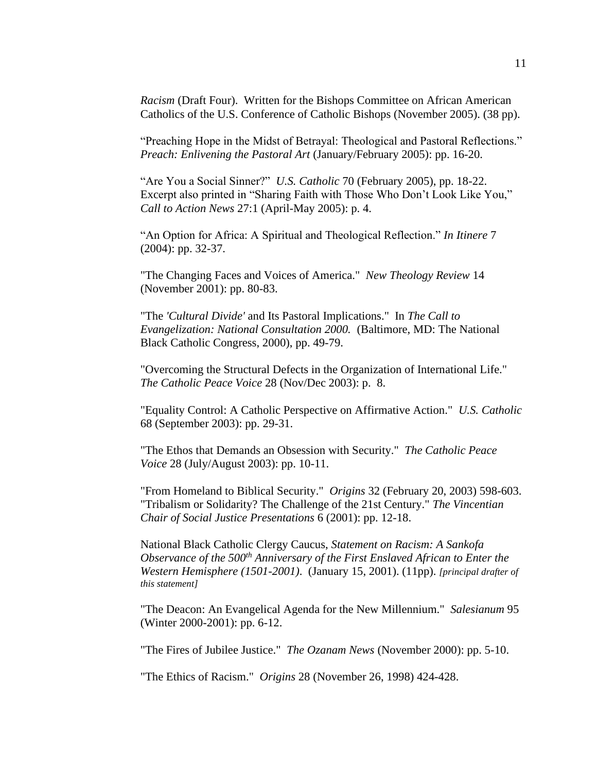*Racism* (Draft Four). Written for the Bishops Committee on African American Catholics of the U.S. Conference of Catholic Bishops (November 2005). (38 pp).

"Preaching Hope in the Midst of Betrayal: Theological and Pastoral Reflections." *Preach: Enlivening the Pastoral Art* (January/February 2005): pp. 16-20.

"Are You a Social Sinner?" *U.S. Catholic* 70 (February 2005), pp. 18-22. Excerpt also printed in "Sharing Faith with Those Who Don't Look Like You," *Call to Action News* 27:1 (April-May 2005): p. 4.

"An Option for Africa: A Spiritual and Theological Reflection." *In Itinere* 7 (2004): pp. 32-37.

"The Changing Faces and Voices of America." *New Theology Review* 14 (November 2001): pp. 80-83.

"The *'Cultural Divide'* and Its Pastoral Implications." In *The Call to Evangelization: National Consultation 2000.* (Baltimore, MD: The National Black Catholic Congress, 2000), pp. 49-79.

"Overcoming the Structural Defects in the Organization of International Life." *The Catholic Peace Voice* 28 (Nov/Dec 2003): p. 8.

"Equality Control: A Catholic Perspective on Affirmative Action." *U.S. Catholic* 68 (September 2003): pp. 29-31.

"The Ethos that Demands an Obsession with Security." *The Catholic Peace Voice* 28 (July/August 2003): pp. 10-11.

"From Homeland to Biblical Security." *Origins* 32 (February 20, 2003) 598-603. "Tribalism or Solidarity? The Challenge of the 21st Century." *The Vincentian Chair of Social Justice Presentations* 6 (2001): pp. 12-18.

National Black Catholic Clergy Caucus, *Statement on Racism: A Sankofa Observance of the 500th Anniversary of the First Enslaved African to Enter the Western Hemisphere (1501-2001)*. (January 15, 2001). (11pp). *[principal drafter of this statement]*

"The Deacon: An Evangelical Agenda for the New Millennium." *Salesianum* 95 (Winter 2000-2001): pp. 6-12.

"The Fires of Jubilee Justice." *The Ozanam News* (November 2000): pp. 5-10.

"The Ethics of Racism." *Origins* 28 (November 26, 1998) 424-428.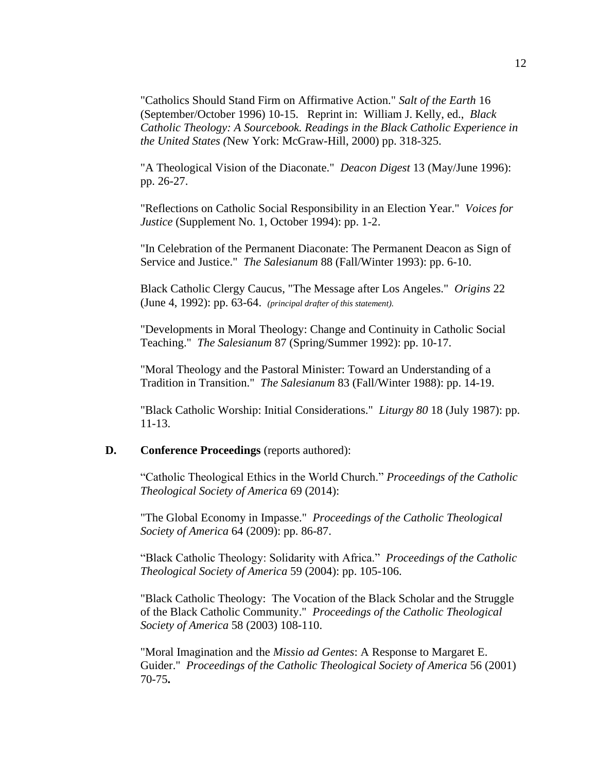"Catholics Should Stand Firm on Affirmative Action." *Salt of the Earth* 16 (September/October 1996) 10-15. Reprint in: William J. Kelly, ed., *Black Catholic Theology: A Sourcebook. Readings in the Black Catholic Experience in the United States (*New York: McGraw-Hill, 2000) pp. 318-325.

"A Theological Vision of the Diaconate." *Deacon Digest* 13 (May/June 1996): pp. 26-27.

"Reflections on Catholic Social Responsibility in an Election Year." *Voices for Justice* (Supplement No. 1, October 1994): pp. 1-2.

"In Celebration of the Permanent Diaconate: The Permanent Deacon as Sign of Service and Justice." *The Salesianum* 88 (Fall/Winter 1993): pp. 6-10.

Black Catholic Clergy Caucus, "The Message after Los Angeles." *Origins* 22 (June 4, 1992): pp. 63-64. *(principal drafter of this statement).*

"Developments in Moral Theology: Change and Continuity in Catholic Social Teaching." *The Salesianum* 87 (Spring/Summer 1992): pp. 10-17.

"Moral Theology and the Pastoral Minister: Toward an Understanding of a Tradition in Transition." *The Salesianum* 83 (Fall/Winter 1988): pp. 14-19.

"Black Catholic Worship: Initial Considerations." *Liturgy 80* 18 (July 1987): pp. 11-13.

## **D. Conference Proceedings** (reports authored):

"Catholic Theological Ethics in the World Church." *Proceedings of the Catholic Theological Society of America* 69 (2014):

"The Global Economy in Impasse." *Proceedings of the Catholic Theological Society of America* 64 (2009): pp. 86-87.

"Black Catholic Theology: Solidarity with Africa." *Proceedings of the Catholic Theological Society of America* 59 (2004): pp. 105-106.

"Black Catholic Theology: The Vocation of the Black Scholar and the Struggle of the Black Catholic Community." *Proceedings of the Catholic Theological Society of America* 58 (2003) 108-110.

"Moral Imagination and the *Missio ad Gentes*: A Response to Margaret E. Guider." *Proceedings of the Catholic Theological Society of America* 56 (2001) 70-75**.**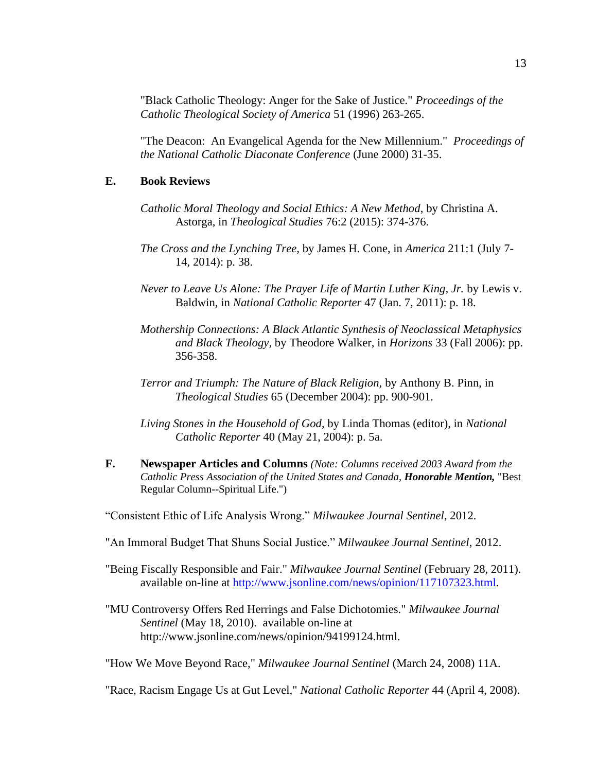"Black Catholic Theology: Anger for the Sake of Justice." *Proceedings of the Catholic Theological Society of America* 51 (1996) 263-265.

"The Deacon: An Evangelical Agenda for the New Millennium." *Proceedings of the National Catholic Diaconate Conference* (June 2000) 31-35.

#### **E. Book Reviews**

- *Catholic Moral Theology and Social Ethics: A New Method*, by Christina A. Astorga, in *Theological Studies* 76:2 (2015): 374-376.
- *The Cross and the Lynching Tree,* by James H. Cone, in *America* 211:1 (July 7- 14, 2014): p. 38.
- *Never to Leave Us Alone: The Prayer Life of Martin Luther King, Jr.* by Lewis v. Baldwin, in *National Catholic Reporter* 47 (Jan. 7, 2011): p. 18.
- *Mothership Connections: A Black Atlantic Synthesis of Neoclassical Metaphysics and Black Theology,* by Theodore Walker, in *Horizons* 33 (Fall 2006): pp. 356-358.
- *Terror and Triumph: The Nature of Black Religion,* by Anthony B. Pinn, in *Theological Studies* 65 (December 2004): pp. 900-901.
- *Living Stones in the Household of God,* by Linda Thomas (editor), in *National Catholic Reporter* 40 (May 21, 2004): p. 5a.
- **F. Newspaper Articles and Columns** *(Note: Columns received 2003 Award from the Catholic Press Association of the United States and Canada, Honorable Mention,* "Best Regular Column--Spiritual Life.")

"Consistent Ethic of Life Analysis Wrong." *Milwaukee Journal Sentinel*, 2012.

- "An Immoral Budget That Shuns Social Justice." *Milwaukee Journal Sentinel*, 2012.
- "Being Fiscally Responsible and Fair." *Milwaukee Journal Sentinel* (February 28, 2011). available on-line at [http://www.jsonline.com/news/opinion/117107323.html.](http://www.jsonline.com/news/opinion/117107323.html)
- "MU Controversy Offers Red Herrings and False Dichotomies." *Milwaukee Journal Sentinel* (May 18, 2010). available on-line at http://www.jsonline.com/news/opinion/94199124.html.

"How We Move Beyond Race," *Milwaukee Journal Sentinel* (March 24, 2008) 11A.

"Race, Racism Engage Us at Gut Level," *National Catholic Reporter* 44 (April 4, 2008).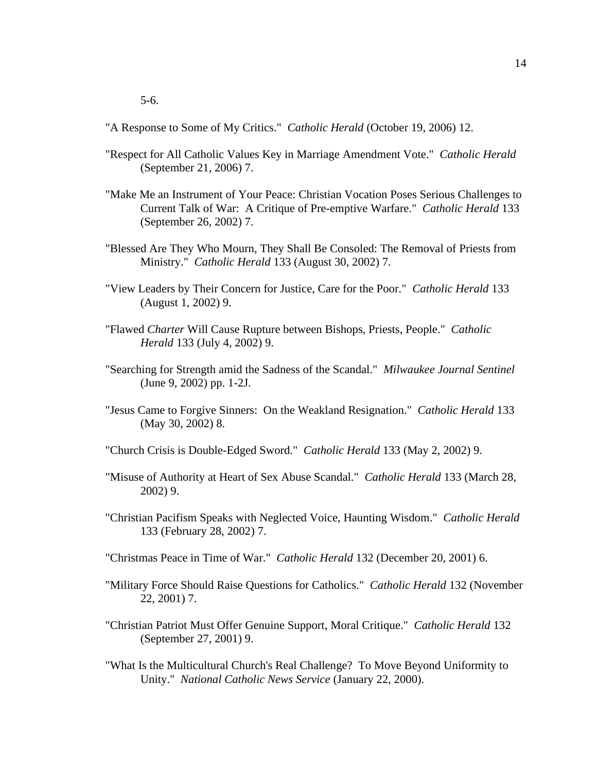"A Response to Some of My Critics." *Catholic Herald* (October 19, 2006) 12.

- "Respect for All Catholic Values Key in Marriage Amendment Vote." *Catholic Herald* (September 21, 2006) 7.
- "Make Me an Instrument of Your Peace: Christian Vocation Poses Serious Challenges to Current Talk of War: A Critique of Pre-emptive Warfare." *Catholic Herald* 133 (September 26, 2002) 7.
- "Blessed Are They Who Mourn, They Shall Be Consoled: The Removal of Priests from Ministry." *Catholic Herald* 133 (August 30, 2002) 7.
- "View Leaders by Their Concern for Justice, Care for the Poor." *Catholic Herald* 133 (August 1, 2002) 9.
- "Flawed *Charter* Will Cause Rupture between Bishops, Priests, People." *Catholic Herald* 133 (July 4, 2002) 9.
- "Searching for Strength amid the Sadness of the Scandal." *Milwaukee Journal Sentinel* (June 9, 2002) pp. 1-2J.
- "Jesus Came to Forgive Sinners: On the Weakland Resignation." *Catholic Herald* 133 (May 30, 2002) 8.
- "Church Crisis is Double-Edged Sword." *Catholic Herald* 133 (May 2, 2002) 9.
- "Misuse of Authority at Heart of Sex Abuse Scandal." *Catholic Herald* 133 (March 28, 2002) 9.
- "Christian Pacifism Speaks with Neglected Voice, Haunting Wisdom." *Catholic Herald* 133 (February 28, 2002) 7.
- "Christmas Peace in Time of War." *Catholic Herald* 132 (December 20, 2001) 6.
- "Military Force Should Raise Questions for Catholics." *Catholic Herald* 132 (November 22, 2001) 7.
- "Christian Patriot Must Offer Genuine Support, Moral Critique." *Catholic Herald* 132 (September 27, 2001) 9.
- "What Is the Multicultural Church's Real Challenge? To Move Beyond Uniformity to Unity." *National Catholic News Service* (January 22, 2000).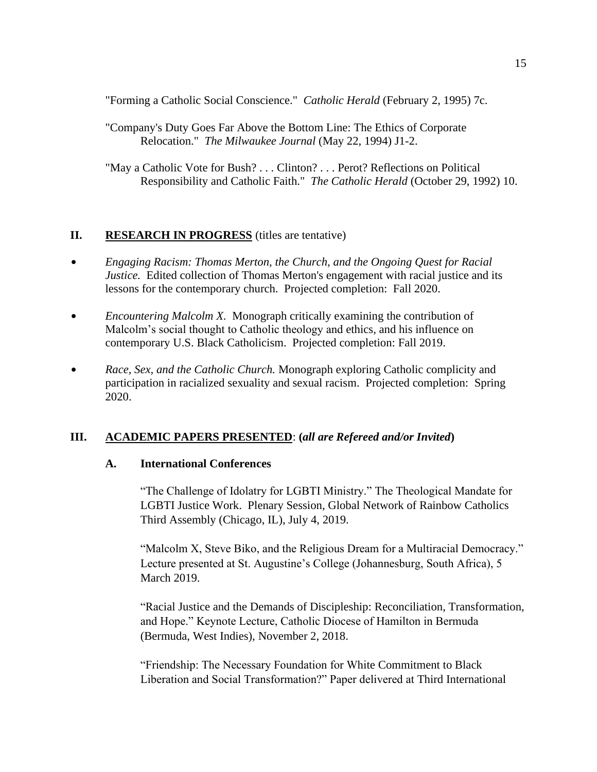"Forming a Catholic Social Conscience." *Catholic Herald* (February 2, 1995) 7c.

"Company's Duty Goes Far Above the Bottom Line: The Ethics of Corporate Relocation." *The Milwaukee Journal* (May 22, 1994) J1-2.

"May a Catholic Vote for Bush? . . . Clinton? . . . Perot? Reflections on Political Responsibility and Catholic Faith." *The Catholic Herald* (October 29, 1992) 10.

## **II. RESEARCH IN PROGRESS** (titles are tentative)

- \$ *Engaging Racism: Thomas Merton, the Church, and the Ongoing Quest for Racial Justice.* Edited collection of Thomas Merton's engagement with racial justice and its lessons for the contemporary church. Projected completion: Fall 2020.
- *Encountering Malcolm X.* Monograph critically examining the contribution of Malcolm's social thought to Catholic theology and ethics, and his influence on contemporary U.S. Black Catholicism. Projected completion: Fall 2019.
- *Race, Sex, and the Catholic Church.* Monograph exploring Catholic complicity and participation in racialized sexuality and sexual racism. Projected completion: Spring 2020.

## **III. ACADEMIC PAPERS PRESENTED**: **(***all are Refereed and/or Invited***)**

## **A. International Conferences**

"The Challenge of Idolatry for LGBTI Ministry." The Theological Mandate for LGBTI Justice Work. Plenary Session, Global Network of Rainbow Catholics Third Assembly (Chicago, IL), July 4, 2019.

"Malcolm X, Steve Biko, and the Religious Dream for a Multiracial Democracy." Lecture presented at St. Augustine's College (Johannesburg, South Africa), 5 March 2019.

"Racial Justice and the Demands of Discipleship: Reconciliation, Transformation, and Hope." Keynote Lecture, Catholic Diocese of Hamilton in Bermuda (Bermuda, West Indies), November 2, 2018.

"Friendship: The Necessary Foundation for White Commitment to Black Liberation and Social Transformation?" Paper delivered at Third International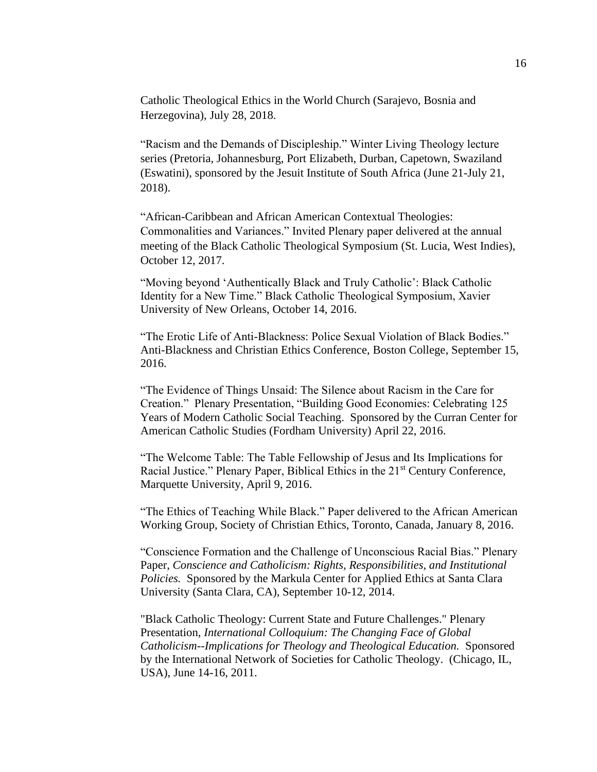Catholic Theological Ethics in the World Church (Sarajevo, Bosnia and Herzegovina), July 28, 2018.

"Racism and the Demands of Discipleship." Winter Living Theology lecture series (Pretoria, Johannesburg, Port Elizabeth, Durban, Capetown, Swaziland (Eswatini), sponsored by the Jesuit Institute of South Africa (June 21-July 21, 2018).

"African-Caribbean and African American Contextual Theologies: Commonalities and Variances." Invited Plenary paper delivered at the annual meeting of the Black Catholic Theological Symposium (St. Lucia, West Indies), October 12, 2017.

"Moving beyond 'Authentically Black and Truly Catholic': Black Catholic Identity for a New Time." Black Catholic Theological Symposium, Xavier University of New Orleans, October 14, 2016.

"The Erotic Life of Anti-Blackness: Police Sexual Violation of Black Bodies." Anti-Blackness and Christian Ethics Conference, Boston College, September 15, 2016.

"The Evidence of Things Unsaid: The Silence about Racism in the Care for Creation." Plenary Presentation, "Building Good Economies: Celebrating 125 Years of Modern Catholic Social Teaching. Sponsored by the Curran Center for American Catholic Studies (Fordham University) April 22, 2016.

"The Welcome Table: The Table Fellowship of Jesus and Its Implications for Racial Justice." Plenary Paper, Biblical Ethics in the 21<sup>st</sup> Century Conference, Marquette University, April 9, 2016.

"The Ethics of Teaching While Black." Paper delivered to the African American Working Group, Society of Christian Ethics, Toronto, Canada, January 8, 2016.

"Conscience Formation and the Challenge of Unconscious Racial Bias." Plenary Paper, *Conscience and Catholicism: Rights, Responsibilities, and Institutional Policies.* Sponsored by the Markula Center for Applied Ethics at Santa Clara University (Santa Clara, CA), September 10-12, 2014.

"Black Catholic Theology: Current State and Future Challenges." Plenary Presentation, *International Colloquium: The Changing Face of Global Catholicism--Implications for Theology and Theological Education.* Sponsored by the International Network of Societies for Catholic Theology. (Chicago, IL, USA), June 14-16, 2011.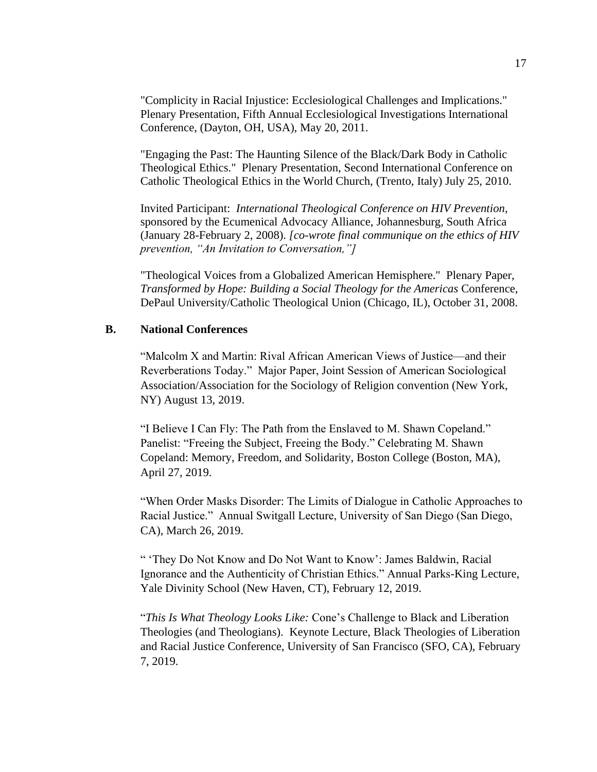"Complicity in Racial Injustice: Ecclesiological Challenges and Implications." Plenary Presentation, Fifth Annual Ecclesiological Investigations International Conference, (Dayton, OH, USA), May 20, 2011.

"Engaging the Past: The Haunting Silence of the Black/Dark Body in Catholic Theological Ethics." Plenary Presentation, Second International Conference on Catholic Theological Ethics in the World Church, (Trento, Italy) July 25, 2010.

Invited Participant: *International Theological Conference on HIV Prevention,*  sponsored by the Ecumenical Advocacy Alliance, Johannesburg, South Africa (January 28-February 2, 2008). *[co-wrote final communique on the ethics of HIV prevention, "An Invitation to Conversation,"]*

"Theological Voices from a Globalized American Hemisphere." Plenary Paper, *Transformed by Hope: Building a Social Theology for the Americas* Conference, DePaul University/Catholic Theological Union (Chicago, IL), October 31, 2008.

### **B. National Conferences**

"Malcolm X and Martin: Rival African American Views of Justice—and their Reverberations Today." Major Paper, Joint Session of American Sociological Association/Association for the Sociology of Religion convention (New York, NY) August 13, 2019.

"I Believe I Can Fly: The Path from the Enslaved to M. Shawn Copeland." Panelist: "Freeing the Subject, Freeing the Body." Celebrating M. Shawn Copeland: Memory, Freedom, and Solidarity, Boston College (Boston, MA), April 27, 2019.

"When Order Masks Disorder: The Limits of Dialogue in Catholic Approaches to Racial Justice." Annual Switgall Lecture, University of San Diego (San Diego, CA), March 26, 2019.

" 'They Do Not Know and Do Not Want to Know': James Baldwin, Racial Ignorance and the Authenticity of Christian Ethics." Annual Parks-King Lecture, Yale Divinity School (New Haven, CT), February 12, 2019.

"*This Is What Theology Looks Like:* Cone's Challenge to Black and Liberation Theologies (and Theologians). Keynote Lecture, Black Theologies of Liberation and Racial Justice Conference, University of San Francisco (SFO, CA), February 7, 2019.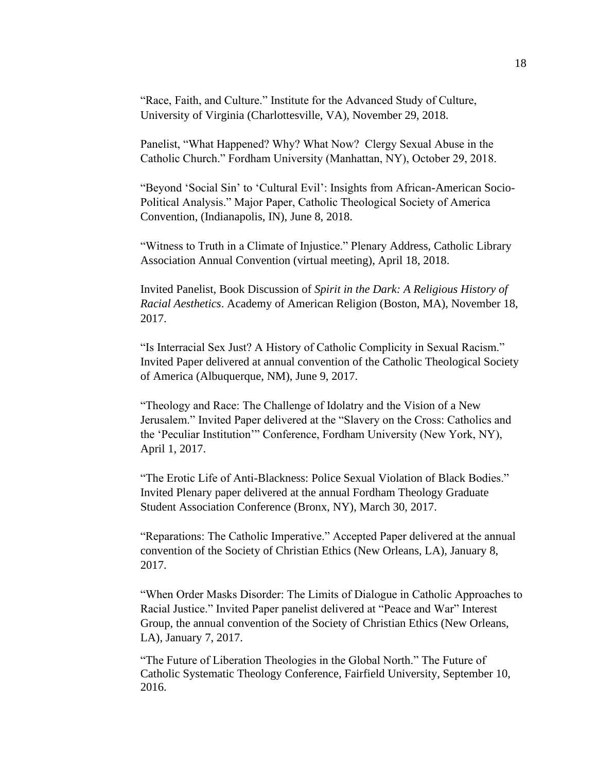"Race, Faith, and Culture." Institute for the Advanced Study of Culture, University of Virginia (Charlottesville, VA), November 29, 2018.

Panelist, "What Happened? Why? What Now? Clergy Sexual Abuse in the Catholic Church." Fordham University (Manhattan, NY), October 29, 2018.

"Beyond 'Social Sin' to 'Cultural Evil': Insights from African-American Socio-Political Analysis." Major Paper, Catholic Theological Society of America Convention, (Indianapolis, IN), June 8, 2018.

"Witness to Truth in a Climate of Injustice." Plenary Address, Catholic Library Association Annual Convention (virtual meeting), April 18, 2018.

Invited Panelist, Book Discussion of *Spirit in the Dark: A Religious History of Racial Aesthetics*. Academy of American Religion (Boston, MA), November 18, 2017.

"Is Interracial Sex Just? A History of Catholic Complicity in Sexual Racism." Invited Paper delivered at annual convention of the Catholic Theological Society of America (Albuquerque, NM), June 9, 2017.

"Theology and Race: The Challenge of Idolatry and the Vision of a New Jerusalem." Invited Paper delivered at the "Slavery on the Cross: Catholics and the 'Peculiar Institution'" Conference, Fordham University (New York, NY), April 1, 2017.

"The Erotic Life of Anti-Blackness: Police Sexual Violation of Black Bodies." Invited Plenary paper delivered at the annual Fordham Theology Graduate Student Association Conference (Bronx, NY), March 30, 2017.

"Reparations: The Catholic Imperative." Accepted Paper delivered at the annual convention of the Society of Christian Ethics (New Orleans, LA), January 8, 2017.

"When Order Masks Disorder: The Limits of Dialogue in Catholic Approaches to Racial Justice." Invited Paper panelist delivered at "Peace and War" Interest Group, the annual convention of the Society of Christian Ethics (New Orleans, LA), January 7, 2017.

"The Future of Liberation Theologies in the Global North." The Future of Catholic Systematic Theology Conference, Fairfield University, September 10, 2016.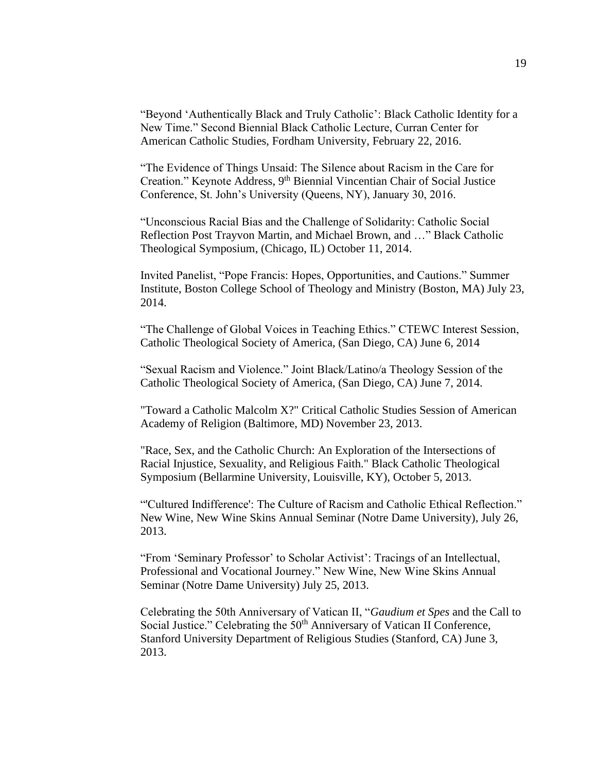"Beyond 'Authentically Black and Truly Catholic': Black Catholic Identity for a New Time." Second Biennial Black Catholic Lecture, Curran Center for American Catholic Studies, Fordham University, February 22, 2016.

"The Evidence of Things Unsaid: The Silence about Racism in the Care for Creation." Keynote Address, 9<sup>th</sup> Biennial Vincentian Chair of Social Justice Conference, St. John's University (Queens, NY), January 30, 2016.

"Unconscious Racial Bias and the Challenge of Solidarity: Catholic Social Reflection Post Trayvon Martin, and Michael Brown, and …" Black Catholic Theological Symposium, (Chicago, IL) October 11, 2014.

Invited Panelist, "Pope Francis: Hopes, Opportunities, and Cautions." Summer Institute, Boston College School of Theology and Ministry (Boston, MA) July 23, 2014.

"The Challenge of Global Voices in Teaching Ethics." CTEWC Interest Session, Catholic Theological Society of America, (San Diego, CA) June 6, 2014

"Sexual Racism and Violence." Joint Black/Latino/a Theology Session of the Catholic Theological Society of America, (San Diego, CA) June 7, 2014.

"Toward a Catholic Malcolm X?" Critical Catholic Studies Session of American Academy of Religion (Baltimore, MD) November 23, 2013.

"Race, Sex, and the Catholic Church: An Exploration of the Intersections of Racial Injustice, Sexuality, and Religious Faith." Black Catholic Theological Symposium (Bellarmine University, Louisville, KY), October 5, 2013.

"'Cultured Indifference': The Culture of Racism and Catholic Ethical Reflection." New Wine, New Wine Skins Annual Seminar (Notre Dame University), July 26, 2013.

"From 'Seminary Professor' to Scholar Activist': Tracings of an Intellectual, Professional and Vocational Journey." New Wine, New Wine Skins Annual Seminar (Notre Dame University) July 25, 2013.

Celebrating the 50th Anniversary of Vatican II, "*Gaudium et Spes* and the Call to Social Justice." Celebrating the 50<sup>th</sup> Anniversary of Vatican II Conference, Stanford University Department of Religious Studies (Stanford, CA) June 3, 2013.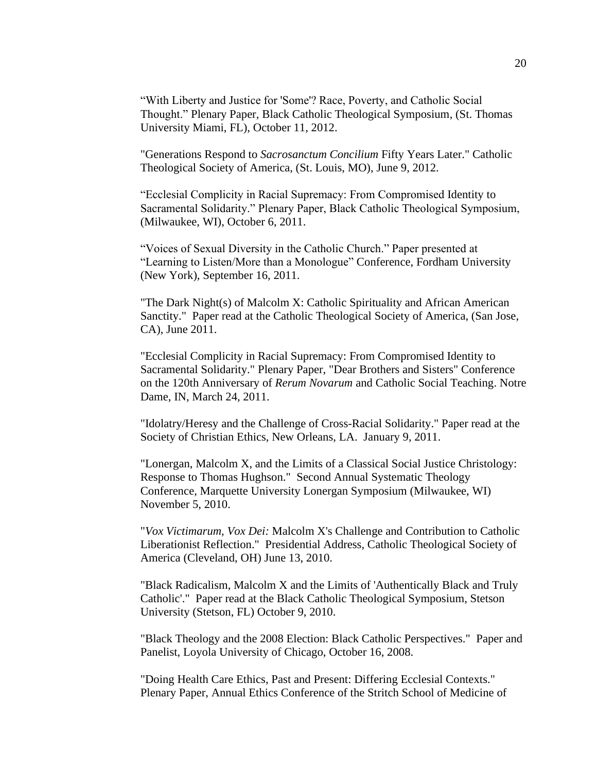"With Liberty and Justice for 'Some'? Race, Poverty, and Catholic Social Thought." Plenary Paper, Black Catholic Theological Symposium, (St. Thomas University Miami, FL), October 11, 2012.

"Generations Respond to *Sacrosanctum Concilium* Fifty Years Later." Catholic Theological Society of America, (St. Louis, MO), June 9, 2012.

"Ecclesial Complicity in Racial Supremacy: From Compromised Identity to Sacramental Solidarity." Plenary Paper, Black Catholic Theological Symposium, (Milwaukee, WI), October 6, 2011.

"Voices of Sexual Diversity in the Catholic Church." Paper presented at "Learning to Listen/More than a Monologue" Conference, Fordham University (New York), September 16, 2011.

"The Dark Night(s) of Malcolm X: Catholic Spirituality and African American Sanctity." Paper read at the Catholic Theological Society of America, (San Jose, CA), June 2011.

"Ecclesial Complicity in Racial Supremacy: From Compromised Identity to Sacramental Solidarity." Plenary Paper, "Dear Brothers and Sisters" Conference on the 120th Anniversary of *Rerum Novarum* and Catholic Social Teaching. Notre Dame, IN, March 24, 2011.

"Idolatry/Heresy and the Challenge of Cross-Racial Solidarity." Paper read at the Society of Christian Ethics, New Orleans, LA. January 9, 2011.

"Lonergan, Malcolm X, and the Limits of a Classical Social Justice Christology: Response to Thomas Hughson." Second Annual Systematic Theology Conference, Marquette University Lonergan Symposium (Milwaukee, WI) November 5, 2010.

"*Vox Victimarum, Vox Dei:* Malcolm X's Challenge and Contribution to Catholic Liberationist Reflection." Presidential Address, Catholic Theological Society of America (Cleveland, OH) June 13, 2010.

"Black Radicalism, Malcolm X and the Limits of 'Authentically Black and Truly Catholic'." Paper read at the Black Catholic Theological Symposium, Stetson University (Stetson, FL) October 9, 2010.

"Black Theology and the 2008 Election: Black Catholic Perspectives." Paper and Panelist, Loyola University of Chicago, October 16, 2008.

"Doing Health Care Ethics, Past and Present: Differing Ecclesial Contexts." Plenary Paper, Annual Ethics Conference of the Stritch School of Medicine of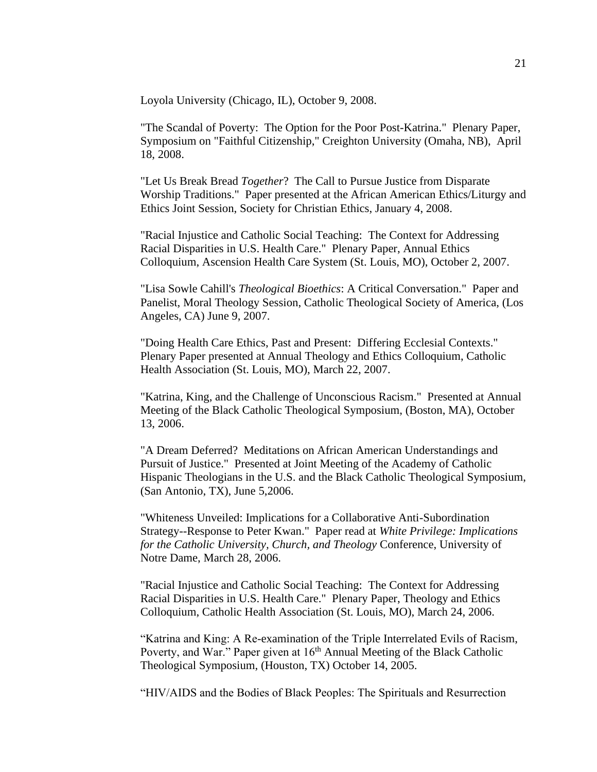Loyola University (Chicago, IL), October 9, 2008.

"The Scandal of Poverty: The Option for the Poor Post-Katrina." Plenary Paper, Symposium on "Faithful Citizenship," Creighton University (Omaha, NB), April 18, 2008.

"Let Us Break Bread *Together*? The Call to Pursue Justice from Disparate Worship Traditions." Paper presented at the African American Ethics/Liturgy and Ethics Joint Session, Society for Christian Ethics, January 4, 2008.

"Racial Injustice and Catholic Social Teaching: The Context for Addressing Racial Disparities in U.S. Health Care." Plenary Paper, Annual Ethics Colloquium, Ascension Health Care System (St. Louis, MO), October 2, 2007.

"Lisa Sowle Cahill's *Theological Bioethics*: A Critical Conversation." Paper and Panelist, Moral Theology Session, Catholic Theological Society of America, (Los Angeles, CA) June 9, 2007.

"Doing Health Care Ethics, Past and Present: Differing Ecclesial Contexts." Plenary Paper presented at Annual Theology and Ethics Colloquium, Catholic Health Association (St. Louis, MO), March 22, 2007.

"Katrina, King, and the Challenge of Unconscious Racism." Presented at Annual Meeting of the Black Catholic Theological Symposium, (Boston, MA), October 13, 2006.

"A Dream Deferred? Meditations on African American Understandings and Pursuit of Justice." Presented at Joint Meeting of the Academy of Catholic Hispanic Theologians in the U.S. and the Black Catholic Theological Symposium, (San Antonio, TX), June 5,2006.

"Whiteness Unveiled: Implications for a Collaborative Anti-Subordination Strategy--Response to Peter Kwan." Paper read at *White Privilege: Implications for the Catholic University, Church, and Theology* Conference, University of Notre Dame, March 28, 2006.

"Racial Injustice and Catholic Social Teaching: The Context for Addressing Racial Disparities in U.S. Health Care." Plenary Paper, Theology and Ethics Colloquium, Catholic Health Association (St. Louis, MO), March 24, 2006.

"Katrina and King: A Re-examination of the Triple Interrelated Evils of Racism, Poverty, and War." Paper given at  $16<sup>th</sup>$  Annual Meeting of the Black Catholic Theological Symposium, (Houston, TX) October 14, 2005.

"HIV/AIDS and the Bodies of Black Peoples: The Spirituals and Resurrection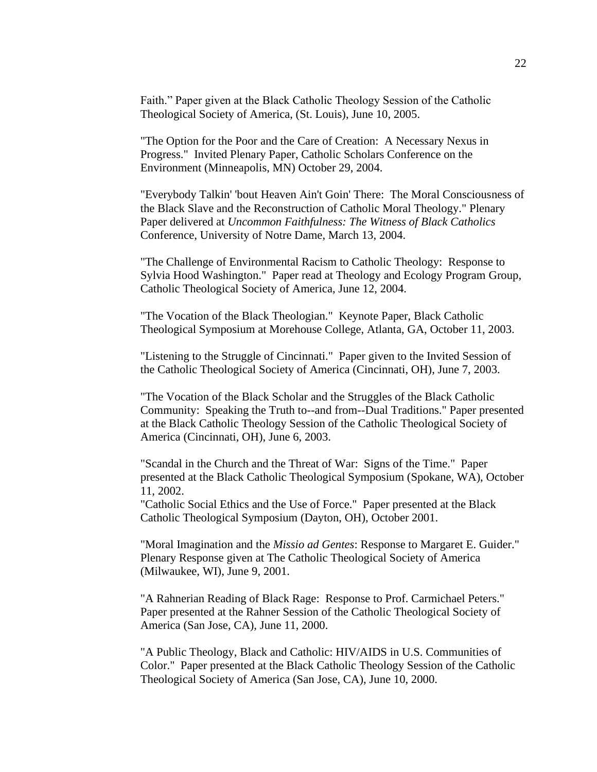Faith." Paper given at the Black Catholic Theology Session of the Catholic Theological Society of America, (St. Louis), June 10, 2005.

"The Option for the Poor and the Care of Creation: A Necessary Nexus in Progress." Invited Plenary Paper, Catholic Scholars Conference on the Environment (Minneapolis, MN) October 29, 2004.

"Everybody Talkin' 'bout Heaven Ain't Goin' There: The Moral Consciousness of the Black Slave and the Reconstruction of Catholic Moral Theology." Plenary Paper delivered at *Uncommon Faithfulness: The Witness of Black Catholics* Conference, University of Notre Dame, March 13, 2004.

"The Challenge of Environmental Racism to Catholic Theology: Response to Sylvia Hood Washington." Paper read at Theology and Ecology Program Group, Catholic Theological Society of America, June 12, 2004.

"The Vocation of the Black Theologian." Keynote Paper, Black Catholic Theological Symposium at Morehouse College, Atlanta, GA, October 11, 2003.

"Listening to the Struggle of Cincinnati." Paper given to the Invited Session of the Catholic Theological Society of America (Cincinnati, OH), June 7, 2003.

"The Vocation of the Black Scholar and the Struggles of the Black Catholic Community: Speaking the Truth to--and from--Dual Traditions." Paper presented at the Black Catholic Theology Session of the Catholic Theological Society of America (Cincinnati, OH), June 6, 2003.

"Scandal in the Church and the Threat of War: Signs of the Time." Paper presented at the Black Catholic Theological Symposium (Spokane, WA), October 11, 2002.

"Catholic Social Ethics and the Use of Force." Paper presented at the Black Catholic Theological Symposium (Dayton, OH), October 2001.

"Moral Imagination and the *Missio ad Gentes*: Response to Margaret E. Guider." Plenary Response given at The Catholic Theological Society of America (Milwaukee, WI), June 9, 2001.

"A Rahnerian Reading of Black Rage: Response to Prof. Carmichael Peters." Paper presented at the Rahner Session of the Catholic Theological Society of America (San Jose, CA), June 11, 2000.

"A Public Theology, Black and Catholic: HIV/AIDS in U.S. Communities of Color." Paper presented at the Black Catholic Theology Session of the Catholic Theological Society of America (San Jose, CA), June 10, 2000.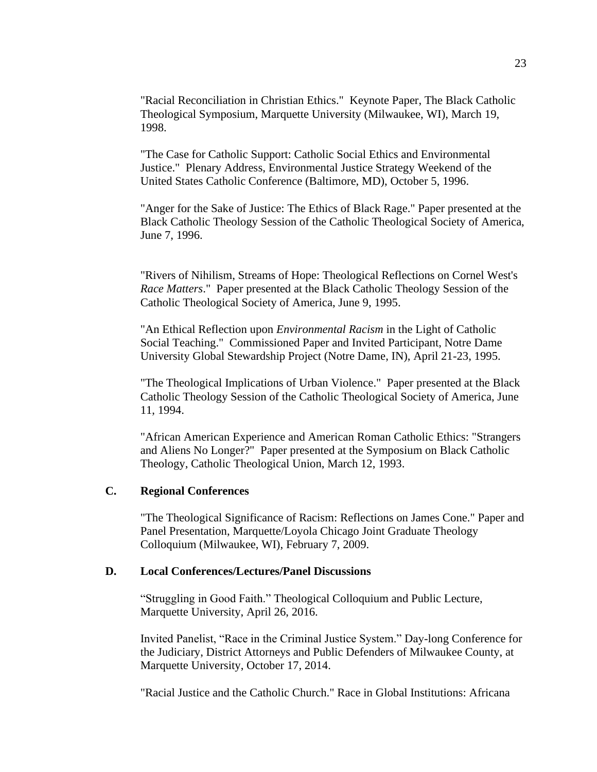"Racial Reconciliation in Christian Ethics." Keynote Paper, The Black Catholic Theological Symposium, Marquette University (Milwaukee, WI), March 19, 1998.

"The Case for Catholic Support: Catholic Social Ethics and Environmental Justice." Plenary Address, Environmental Justice Strategy Weekend of the United States Catholic Conference (Baltimore, MD), October 5, 1996.

"Anger for the Sake of Justice: The Ethics of Black Rage." Paper presented at the Black Catholic Theology Session of the Catholic Theological Society of America, June 7, 1996.

"Rivers of Nihilism, Streams of Hope: Theological Reflections on Cornel West's *Race Matters*." Paper presented at the Black Catholic Theology Session of the Catholic Theological Society of America, June 9, 1995.

"An Ethical Reflection upon *Environmental Racism* in the Light of Catholic Social Teaching." Commissioned Paper and Invited Participant, Notre Dame University Global Stewardship Project (Notre Dame, IN), April 21-23, 1995.

"The Theological Implications of Urban Violence." Paper presented at the Black Catholic Theology Session of the Catholic Theological Society of America, June 11, 1994.

"African American Experience and American Roman Catholic Ethics: "Strangers and Aliens No Longer?" Paper presented at the Symposium on Black Catholic Theology, Catholic Theological Union, March 12, 1993.

## **C. Regional Conferences**

"The Theological Significance of Racism: Reflections on James Cone." Paper and Panel Presentation, Marquette/Loyola Chicago Joint Graduate Theology Colloquium (Milwaukee, WI), February 7, 2009.

#### **D. Local Conferences/Lectures/Panel Discussions**

"Struggling in Good Faith." Theological Colloquium and Public Lecture, Marquette University, April 26, 2016.

Invited Panelist, "Race in the Criminal Justice System." Day-long Conference for the Judiciary, District Attorneys and Public Defenders of Milwaukee County, at Marquette University, October 17, 2014.

"Racial Justice and the Catholic Church." Race in Global Institutions: Africana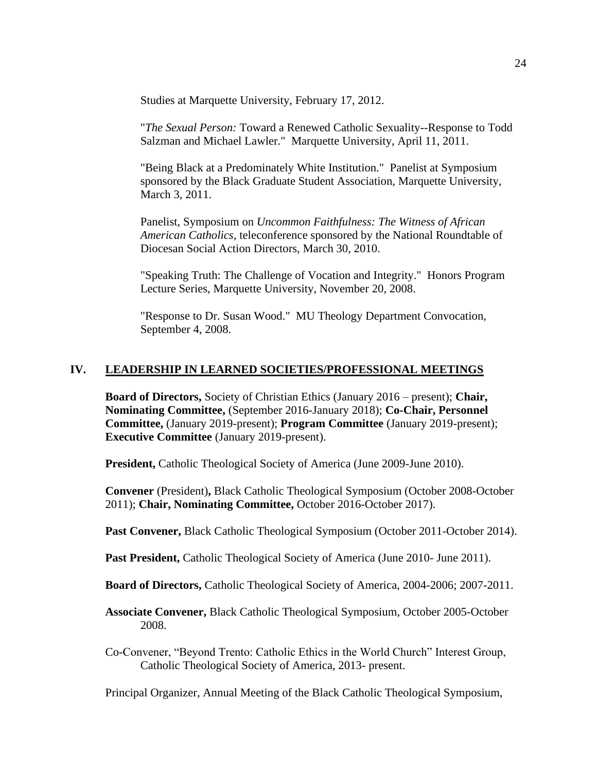Studies at Marquette University, February 17, 2012.

"*The Sexual Person:* Toward a Renewed Catholic Sexuality--Response to Todd Salzman and Michael Lawler." Marquette University, April 11, 2011.

"Being Black at a Predominately White Institution." Panelist at Symposium sponsored by the Black Graduate Student Association, Marquette University, March 3, 2011.

Panelist, Symposium on *Uncommon Faithfulness: The Witness of African American Catholics,* teleconference sponsored by the National Roundtable of Diocesan Social Action Directors, March 30, 2010.

"Speaking Truth: The Challenge of Vocation and Integrity." Honors Program Lecture Series, Marquette University, November 20, 2008.

"Response to Dr. Susan Wood." MU Theology Department Convocation, September 4, 2008.

## **IV. LEADERSHIP IN LEARNED SOCIETIES/PROFESSIONAL MEETINGS**

**Board of Directors,** Society of Christian Ethics (January 2016 – present); **Chair, Nominating Committee,** (September 2016-January 2018); **Co-Chair, Personnel Committee,** (January 2019-present); **Program Committee** (January 2019-present); **Executive Committee** (January 2019-present).

**President,** Catholic Theological Society of America (June 2009-June 2010).

**Convener** (President)**,** Black Catholic Theological Symposium (October 2008-October 2011); **Chair, Nominating Committee,** October 2016-October 2017).

**Past Convener,** Black Catholic Theological Symposium (October 2011-October 2014).

**Past President,** Catholic Theological Society of America (June 2010- June 2011).

**Board of Directors,** Catholic Theological Society of America, 2004-2006; 2007-2011.

**Associate Convener,** Black Catholic Theological Symposium, October 2005-October 2008.

Co-Convener, "Beyond Trento: Catholic Ethics in the World Church" Interest Group, Catholic Theological Society of America, 2013- present.

Principal Organizer, Annual Meeting of the Black Catholic Theological Symposium,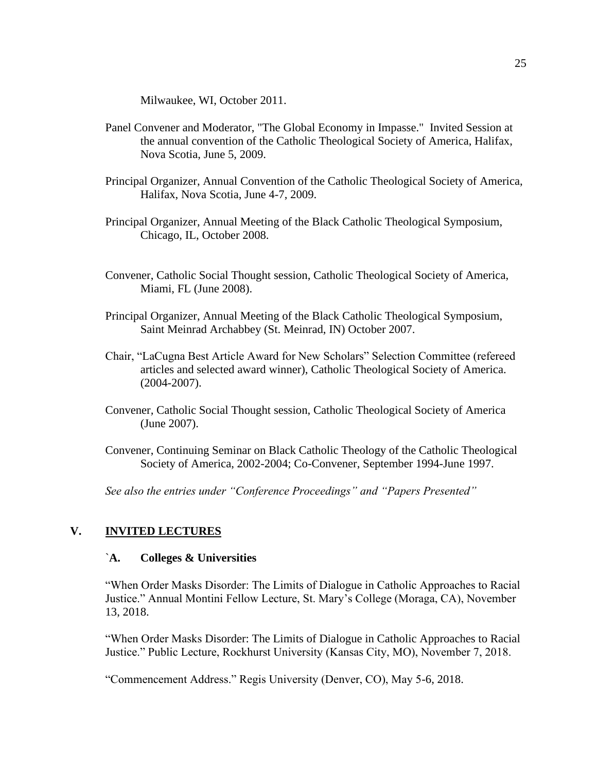Milwaukee, WI, October 2011.

- Panel Convener and Moderator, "The Global Economy in Impasse." Invited Session at the annual convention of the Catholic Theological Society of America, Halifax, Nova Scotia, June 5, 2009.
- Principal Organizer, Annual Convention of the Catholic Theological Society of America, Halifax, Nova Scotia, June 4-7, 2009.
- Principal Organizer, Annual Meeting of the Black Catholic Theological Symposium, Chicago, IL, October 2008.
- Convener, Catholic Social Thought session, Catholic Theological Society of America, Miami, FL (June 2008).
- Principal Organizer, Annual Meeting of the Black Catholic Theological Symposium, Saint Meinrad Archabbey (St. Meinrad, IN) October 2007.
- Chair, "LaCugna Best Article Award for New Scholars" Selection Committee (refereed articles and selected award winner), Catholic Theological Society of America. (2004-2007).
- Convener*,* Catholic Social Thought session, Catholic Theological Society of America (June 2007).
- Convener, Continuing Seminar on Black Catholic Theology of the Catholic Theological Society of America, 2002-2004; Co-Convener, September 1994-June 1997.

*See also the entries under "Conference Proceedings" and "Papers Presented"*

## **V. INVITED LECTURES**

#### `**A. Colleges & Universities**

"When Order Masks Disorder: The Limits of Dialogue in Catholic Approaches to Racial Justice." Annual Montini Fellow Lecture, St. Mary's College (Moraga, CA), November 13, 2018.

"When Order Masks Disorder: The Limits of Dialogue in Catholic Approaches to Racial Justice." Public Lecture, Rockhurst University (Kansas City, MO), November 7, 2018.

"Commencement Address." Regis University (Denver, CO), May 5-6, 2018.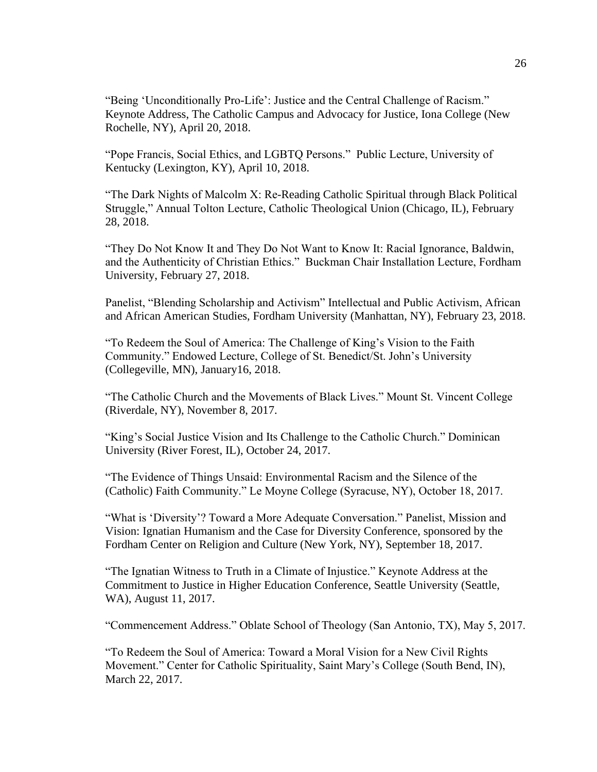"Being 'Unconditionally Pro-Life': Justice and the Central Challenge of Racism." Keynote Address, The Catholic Campus and Advocacy for Justice, Iona College (New Rochelle, NY), April 20, 2018.

"Pope Francis, Social Ethics, and LGBTQ Persons." Public Lecture, University of Kentucky (Lexington, KY), April 10, 2018.

"The Dark Nights of Malcolm X: Re-Reading Catholic Spiritual through Black Political Struggle," Annual Tolton Lecture, Catholic Theological Union (Chicago, IL), February 28, 2018.

"They Do Not Know It and They Do Not Want to Know It: Racial Ignorance, Baldwin, and the Authenticity of Christian Ethics." Buckman Chair Installation Lecture, Fordham University, February 27, 2018.

Panelist, "Blending Scholarship and Activism" Intellectual and Public Activism, African and African American Studies, Fordham University (Manhattan, NY), February 23, 2018.

"To Redeem the Soul of America: The Challenge of King's Vision to the Faith Community." Endowed Lecture, College of St. Benedict/St. John's University (Collegeville, MN), January16, 2018.

"The Catholic Church and the Movements of Black Lives." Mount St. Vincent College (Riverdale, NY), November 8, 2017.

"King's Social Justice Vision and Its Challenge to the Catholic Church." Dominican University (River Forest, IL), October 24, 2017.

"The Evidence of Things Unsaid: Environmental Racism and the Silence of the (Catholic) Faith Community." Le Moyne College (Syracuse, NY), October 18, 2017.

"What is 'Diversity'? Toward a More Adequate Conversation." Panelist, Mission and Vision: Ignatian Humanism and the Case for Diversity Conference, sponsored by the Fordham Center on Religion and Culture (New York, NY), September 18, 2017.

"The Ignatian Witness to Truth in a Climate of Injustice." Keynote Address at the Commitment to Justice in Higher Education Conference, Seattle University (Seattle, WA), August 11, 2017.

"Commencement Address." Oblate School of Theology (San Antonio, TX), May 5, 2017.

"To Redeem the Soul of America: Toward a Moral Vision for a New Civil Rights Movement." Center for Catholic Spirituality, Saint Mary's College (South Bend, IN), March 22, 2017.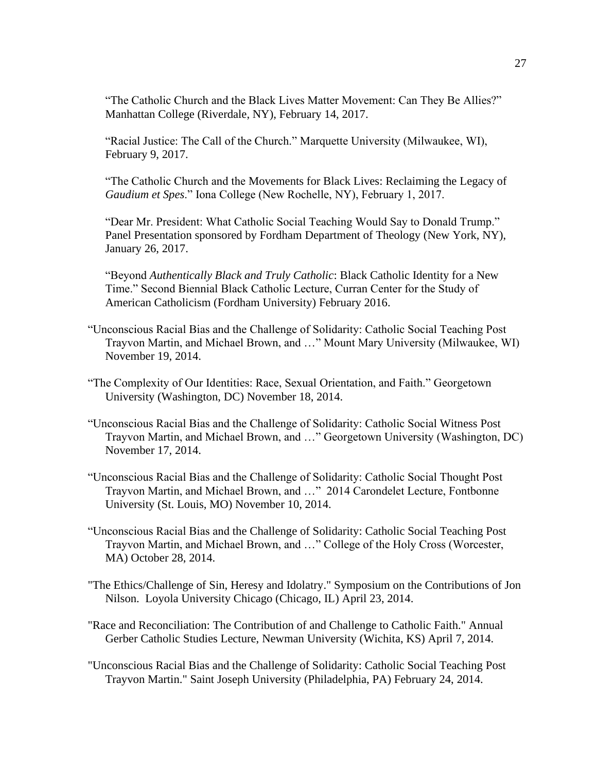"The Catholic Church and the Black Lives Matter Movement: Can They Be Allies?" Manhattan College (Riverdale, NY), February 14, 2017.

"Racial Justice: The Call of the Church." Marquette University (Milwaukee, WI), February 9, 2017.

"The Catholic Church and the Movements for Black Lives: Reclaiming the Legacy of *Gaudium et Spes*." Iona College (New Rochelle, NY), February 1, 2017.

"Dear Mr. President: What Catholic Social Teaching Would Say to Donald Trump." Panel Presentation sponsored by Fordham Department of Theology (New York, NY), January 26, 2017.

"Beyond *Authentically Black and Truly Catholic*: Black Catholic Identity for a New Time." Second Biennial Black Catholic Lecture, Curran Center for the Study of American Catholicism (Fordham University) February 2016.

- "Unconscious Racial Bias and the Challenge of Solidarity: Catholic Social Teaching Post Trayvon Martin, and Michael Brown, and …" Mount Mary University (Milwaukee, WI) November 19, 2014.
- "The Complexity of Our Identities: Race, Sexual Orientation, and Faith." Georgetown University (Washington, DC) November 18, 2014.
- "Unconscious Racial Bias and the Challenge of Solidarity: Catholic Social Witness Post Trayvon Martin, and Michael Brown, and …" Georgetown University (Washington, DC) November 17, 2014.
- "Unconscious Racial Bias and the Challenge of Solidarity: Catholic Social Thought Post Trayvon Martin, and Michael Brown, and …" 2014 Carondelet Lecture, Fontbonne University (St. Louis, MO) November 10, 2014.
- "Unconscious Racial Bias and the Challenge of Solidarity: Catholic Social Teaching Post Trayvon Martin, and Michael Brown, and …" College of the Holy Cross (Worcester, MA) October 28, 2014.
- "The Ethics/Challenge of Sin, Heresy and Idolatry." Symposium on the Contributions of Jon Nilson. Loyola University Chicago (Chicago, IL) April 23, 2014.
- "Race and Reconciliation: The Contribution of and Challenge to Catholic Faith." Annual Gerber Catholic Studies Lecture, Newman University (Wichita, KS) April 7, 2014.
- "Unconscious Racial Bias and the Challenge of Solidarity: Catholic Social Teaching Post Trayvon Martin." Saint Joseph University (Philadelphia, PA) February 24, 2014.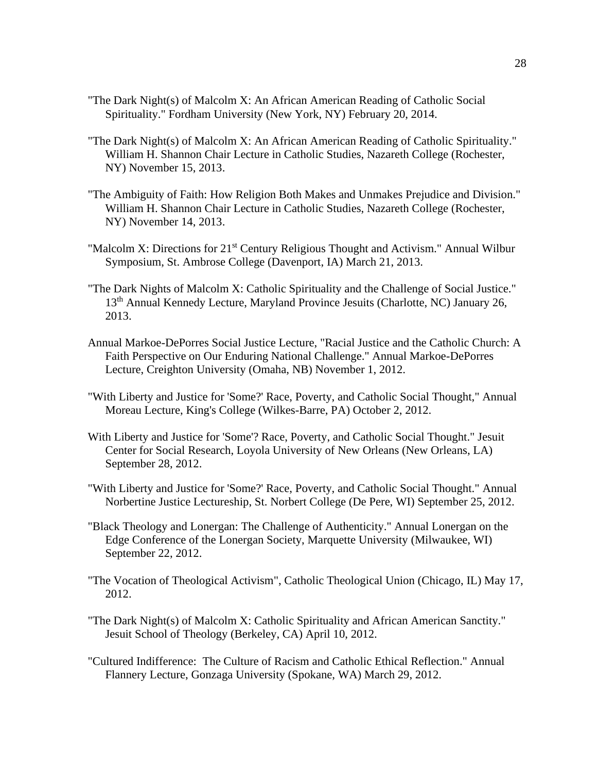- "The Dark Night(s) of Malcolm X: An African American Reading of Catholic Social Spirituality." Fordham University (New York, NY) February 20, 2014.
- "The Dark Night(s) of Malcolm X: An African American Reading of Catholic Spirituality." William H. Shannon Chair Lecture in Catholic Studies, Nazareth College (Rochester, NY) November 15, 2013.
- "The Ambiguity of Faith: How Religion Both Makes and Unmakes Prejudice and Division." William H. Shannon Chair Lecture in Catholic Studies, Nazareth College (Rochester, NY) November 14, 2013.
- "Malcolm X: Directions for 21<sup>st</sup> Century Religious Thought and Activism." Annual Wilbur Symposium, St. Ambrose College (Davenport, IA) March 21, 2013.
- "The Dark Nights of Malcolm X: Catholic Spirituality and the Challenge of Social Justice." 13<sup>th</sup> Annual Kennedy Lecture, Maryland Province Jesuits (Charlotte, NC) January 26, 2013.
- Annual Markoe-DePorres Social Justice Lecture, "Racial Justice and the Catholic Church: A Faith Perspective on Our Enduring National Challenge." Annual Markoe-DePorres Lecture, Creighton University (Omaha, NB) November 1, 2012.
- "With Liberty and Justice for 'Some?' Race, Poverty, and Catholic Social Thought," Annual Moreau Lecture, King's College (Wilkes-Barre, PA) October 2, 2012.
- With Liberty and Justice for 'Some'? Race, Poverty, and Catholic Social Thought." Jesuit Center for Social Research, Loyola University of New Orleans (New Orleans, LA) September 28, 2012.
- "With Liberty and Justice for 'Some?' Race, Poverty, and Catholic Social Thought." Annual Norbertine Justice Lectureship, St. Norbert College (De Pere, WI) September 25, 2012.
- "Black Theology and Lonergan: The Challenge of Authenticity." Annual Lonergan on the Edge Conference of the Lonergan Society, Marquette University (Milwaukee, WI) September 22, 2012.
- "The Vocation of Theological Activism", Catholic Theological Union (Chicago, IL) May 17, 2012.
- "The Dark Night(s) of Malcolm X: Catholic Spirituality and African American Sanctity." Jesuit School of Theology (Berkeley, CA) April 10, 2012.
- "Cultured Indifference: The Culture of Racism and Catholic Ethical Reflection." Annual Flannery Lecture, Gonzaga University (Spokane, WA) March 29, 2012.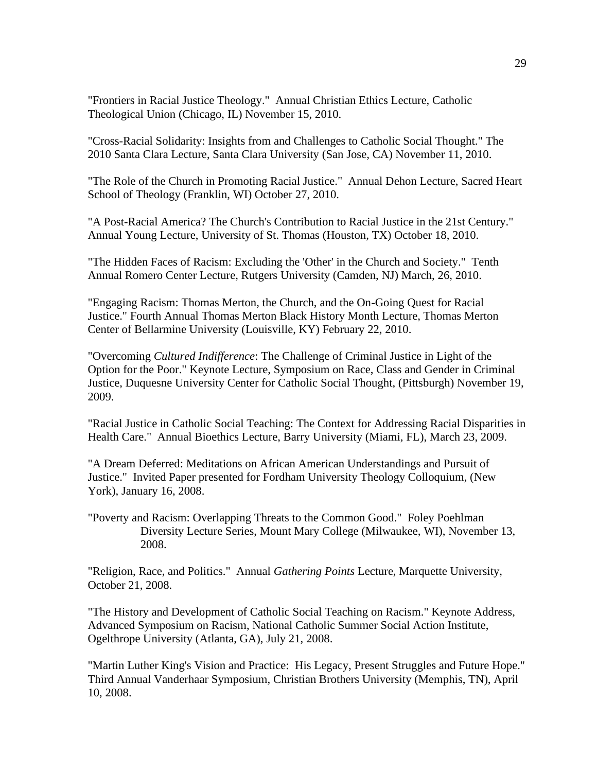"Frontiers in Racial Justice Theology." Annual Christian Ethics Lecture, Catholic Theological Union (Chicago, IL) November 15, 2010.

"Cross-Racial Solidarity: Insights from and Challenges to Catholic Social Thought." The 2010 Santa Clara Lecture, Santa Clara University (San Jose, CA) November 11, 2010.

"The Role of the Church in Promoting Racial Justice." Annual Dehon Lecture, Sacred Heart School of Theology (Franklin, WI) October 27, 2010.

"A Post-Racial America? The Church's Contribution to Racial Justice in the 21st Century." Annual Young Lecture, University of St. Thomas (Houston, TX) October 18, 2010.

"The Hidden Faces of Racism: Excluding the 'Other' in the Church and Society." Tenth Annual Romero Center Lecture, Rutgers University (Camden, NJ) March, 26, 2010.

"Engaging Racism: Thomas Merton, the Church, and the On-Going Quest for Racial Justice." Fourth Annual Thomas Merton Black History Month Lecture, Thomas Merton Center of Bellarmine University (Louisville, KY) February 22, 2010.

"Overcoming *Cultured Indifference*: The Challenge of Criminal Justice in Light of the Option for the Poor." Keynote Lecture, Symposium on Race, Class and Gender in Criminal Justice, Duquesne University Center for Catholic Social Thought, (Pittsburgh) November 19, 2009.

"Racial Justice in Catholic Social Teaching: The Context for Addressing Racial Disparities in Health Care." Annual Bioethics Lecture, Barry University (Miami, FL), March 23, 2009.

"A Dream Deferred: Meditations on African American Understandings and Pursuit of Justice." Invited Paper presented for Fordham University Theology Colloquium, (New York), January 16, 2008.

"Poverty and Racism: Overlapping Threats to the Common Good." Foley Poehlman Diversity Lecture Series, Mount Mary College (Milwaukee, WI), November 13, 2008.

"Religion, Race, and Politics." Annual *Gathering Points* Lecture, Marquette University, October 21, 2008.

"The History and Development of Catholic Social Teaching on Racism." Keynote Address, Advanced Symposium on Racism, National Catholic Summer Social Action Institute, Ogelthrope University (Atlanta, GA), July 21, 2008.

"Martin Luther King's Vision and Practice: His Legacy, Present Struggles and Future Hope." Third Annual Vanderhaar Symposium, Christian Brothers University (Memphis, TN), April 10, 2008.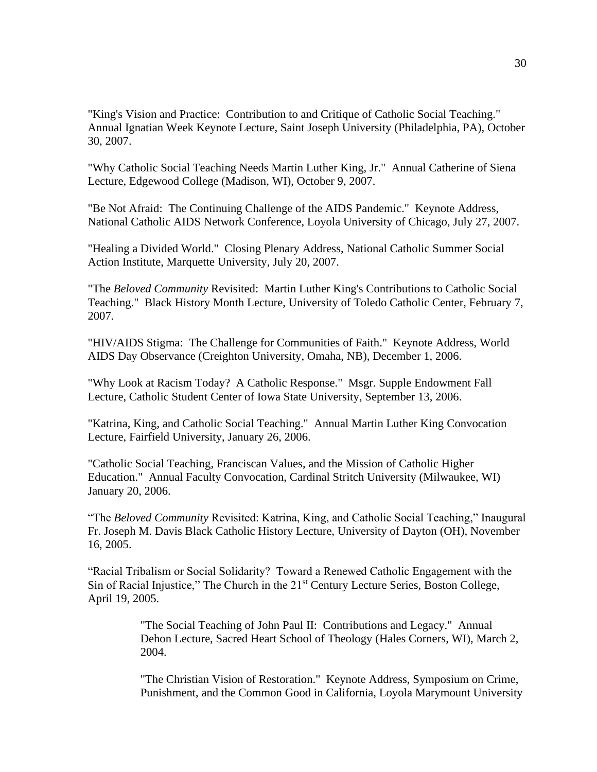"King's Vision and Practice: Contribution to and Critique of Catholic Social Teaching." Annual Ignatian Week Keynote Lecture, Saint Joseph University (Philadelphia, PA), October 30, 2007.

"Why Catholic Social Teaching Needs Martin Luther King, Jr." Annual Catherine of Siena Lecture, Edgewood College (Madison, WI), October 9, 2007.

"Be Not Afraid: The Continuing Challenge of the AIDS Pandemic." Keynote Address, National Catholic AIDS Network Conference, Loyola University of Chicago, July 27, 2007.

"Healing a Divided World." Closing Plenary Address, National Catholic Summer Social Action Institute, Marquette University, July 20, 2007.

"The *Beloved Community* Revisited: Martin Luther King's Contributions to Catholic Social Teaching." Black History Month Lecture, University of Toledo Catholic Center, February 7, 2007.

"HIV/AIDS Stigma: The Challenge for Communities of Faith." Keynote Address, World AIDS Day Observance (Creighton University, Omaha, NB), December 1, 2006.

"Why Look at Racism Today? A Catholic Response." Msgr. Supple Endowment Fall Lecture, Catholic Student Center of Iowa State University, September 13, 2006.

"Katrina, King, and Catholic Social Teaching." Annual Martin Luther King Convocation Lecture, Fairfield University, January 26, 2006.

"Catholic Social Teaching, Franciscan Values, and the Mission of Catholic Higher Education." Annual Faculty Convocation, Cardinal Stritch University (Milwaukee, WI) January 20, 2006.

"The *Beloved Community* Revisited: Katrina, King, and Catholic Social Teaching," Inaugural Fr. Joseph M. Davis Black Catholic History Lecture, University of Dayton (OH), November 16, 2005.

"Racial Tribalism or Social Solidarity? Toward a Renewed Catholic Engagement with the Sin of Racial Injustice," The Church in the 21<sup>st</sup> Century Lecture Series, Boston College, April 19, 2005.

> "The Social Teaching of John Paul II: Contributions and Legacy." Annual Dehon Lecture, Sacred Heart School of Theology (Hales Corners, WI), March 2, 2004.

"The Christian Vision of Restoration." Keynote Address, Symposium on Crime, Punishment, and the Common Good in California, Loyola Marymount University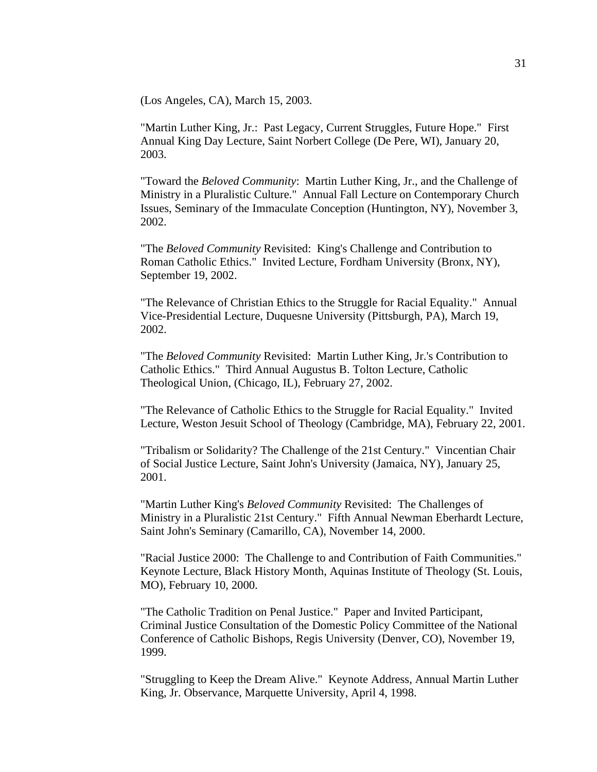(Los Angeles, CA), March 15, 2003.

"Martin Luther King, Jr.: Past Legacy, Current Struggles, Future Hope." First Annual King Day Lecture, Saint Norbert College (De Pere, WI), January 20, 2003.

"Toward the *Beloved Community*: Martin Luther King, Jr., and the Challenge of Ministry in a Pluralistic Culture." Annual Fall Lecture on Contemporary Church Issues, Seminary of the Immaculate Conception (Huntington, NY), November 3, 2002.

"The *Beloved Community* Revisited: King's Challenge and Contribution to Roman Catholic Ethics." Invited Lecture, Fordham University (Bronx, NY), September 19, 2002.

"The Relevance of Christian Ethics to the Struggle for Racial Equality." Annual Vice-Presidential Lecture, Duquesne University (Pittsburgh, PA), March 19, 2002.

"The *Beloved Community* Revisited: Martin Luther King, Jr.'s Contribution to Catholic Ethics." Third Annual Augustus B. Tolton Lecture, Catholic Theological Union, (Chicago, IL), February 27, 2002.

"The Relevance of Catholic Ethics to the Struggle for Racial Equality." Invited Lecture, Weston Jesuit School of Theology (Cambridge, MA), February 22, 2001.

"Tribalism or Solidarity? The Challenge of the 21st Century." Vincentian Chair of Social Justice Lecture, Saint John's University (Jamaica, NY), January 25, 2001.

"Martin Luther King's *Beloved Community* Revisited: The Challenges of Ministry in a Pluralistic 21st Century." Fifth Annual Newman Eberhardt Lecture, Saint John's Seminary (Camarillo, CA), November 14, 2000.

"Racial Justice 2000: The Challenge to and Contribution of Faith Communities." Keynote Lecture, Black History Month, Aquinas Institute of Theology (St. Louis, MO), February 10, 2000.

"The Catholic Tradition on Penal Justice." Paper and Invited Participant, Criminal Justice Consultation of the Domestic Policy Committee of the National Conference of Catholic Bishops, Regis University (Denver, CO), November 19, 1999.

"Struggling to Keep the Dream Alive." Keynote Address, Annual Martin Luther King, Jr. Observance, Marquette University, April 4, 1998.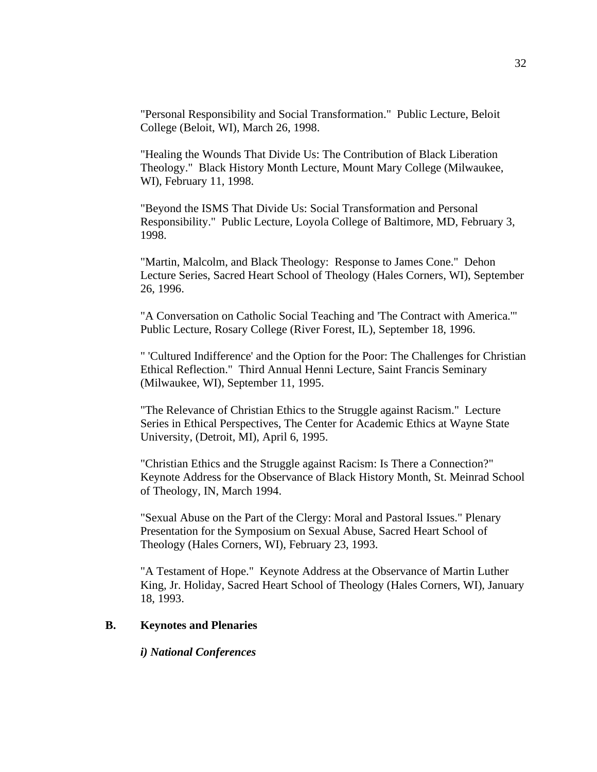"Personal Responsibility and Social Transformation." Public Lecture, Beloit College (Beloit, WI), March 26, 1998.

"Healing the Wounds That Divide Us: The Contribution of Black Liberation Theology." Black History Month Lecture, Mount Mary College (Milwaukee, WI), February 11, 1998.

"Beyond the ISMS That Divide Us: Social Transformation and Personal Responsibility." Public Lecture, Loyola College of Baltimore, MD, February 3, 1998.

"Martin, Malcolm, and Black Theology: Response to James Cone." Dehon Lecture Series, Sacred Heart School of Theology (Hales Corners, WI), September 26, 1996.

"A Conversation on Catholic Social Teaching and 'The Contract with America.'" Public Lecture, Rosary College (River Forest, IL), September 18, 1996.

" 'Cultured Indifference' and the Option for the Poor: The Challenges for Christian Ethical Reflection." Third Annual Henni Lecture, Saint Francis Seminary (Milwaukee, WI), September 11, 1995.

"The Relevance of Christian Ethics to the Struggle against Racism." Lecture Series in Ethical Perspectives, The Center for Academic Ethics at Wayne State University, (Detroit, MI), April 6, 1995.

"Christian Ethics and the Struggle against Racism: Is There a Connection?" Keynote Address for the Observance of Black History Month, St. Meinrad School of Theology, IN, March 1994.

"Sexual Abuse on the Part of the Clergy: Moral and Pastoral Issues." Plenary Presentation for the Symposium on Sexual Abuse, Sacred Heart School of Theology (Hales Corners, WI), February 23, 1993.

"A Testament of Hope." Keynote Address at the Observance of Martin Luther King, Jr. Holiday, Sacred Heart School of Theology (Hales Corners, WI), January 18, 1993.

#### **B. Keynotes and Plenaries**

#### *i) National Conferences*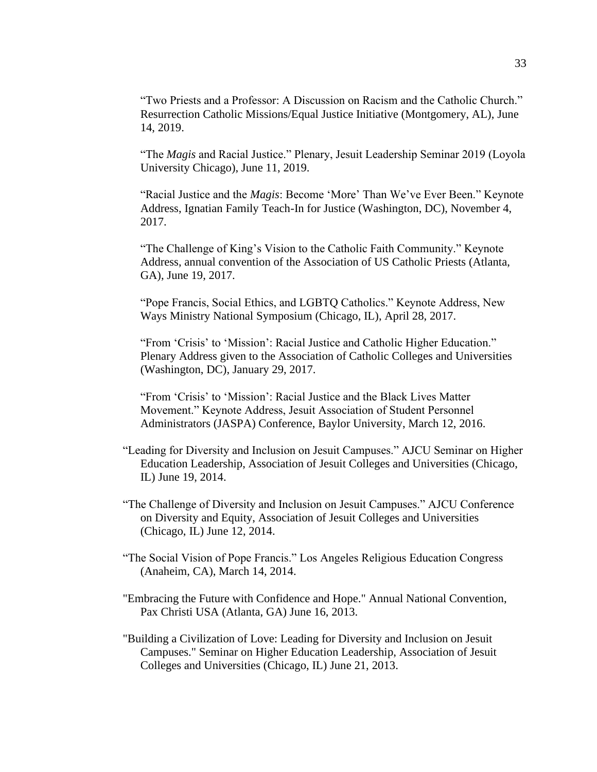"Two Priests and a Professor: A Discussion on Racism and the Catholic Church." Resurrection Catholic Missions/Equal Justice Initiative (Montgomery, AL), June 14, 2019.

"The *Magis* and Racial Justice." Plenary, Jesuit Leadership Seminar 2019 (Loyola University Chicago), June 11, 2019.

"Racial Justice and the *Magis*: Become 'More' Than We've Ever Been." Keynote Address, Ignatian Family Teach-In for Justice (Washington, DC), November 4, 2017.

"The Challenge of King's Vision to the Catholic Faith Community." Keynote Address, annual convention of the Association of US Catholic Priests (Atlanta, GA), June 19, 2017.

"Pope Francis, Social Ethics, and LGBTQ Catholics." Keynote Address, New Ways Ministry National Symposium (Chicago, IL), April 28, 2017.

"From 'Crisis' to 'Mission': Racial Justice and Catholic Higher Education." Plenary Address given to the Association of Catholic Colleges and Universities (Washington, DC), January 29, 2017.

"From 'Crisis' to 'Mission': Racial Justice and the Black Lives Matter Movement." Keynote Address, Jesuit Association of Student Personnel Administrators (JASPA) Conference, Baylor University, March 12, 2016.

- "Leading for Diversity and Inclusion on Jesuit Campuses." AJCU Seminar on Higher Education Leadership, Association of Jesuit Colleges and Universities (Chicago, IL) June 19, 2014.
- "The Challenge of Diversity and Inclusion on Jesuit Campuses." AJCU Conference on Diversity and Equity, Association of Jesuit Colleges and Universities (Chicago, IL) June 12, 2014.
- "The Social Vision of Pope Francis." Los Angeles Religious Education Congress (Anaheim, CA), March 14, 2014.
- "Embracing the Future with Confidence and Hope." Annual National Convention, Pax Christi USA (Atlanta, GA) June 16, 2013.
- "Building a Civilization of Love: Leading for Diversity and Inclusion on Jesuit Campuses." Seminar on Higher Education Leadership, Association of Jesuit Colleges and Universities (Chicago, IL) June 21, 2013.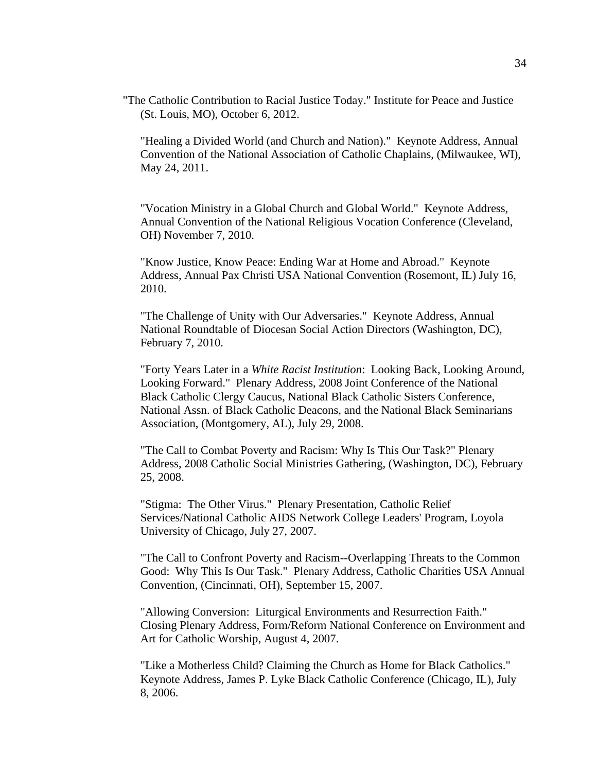"The Catholic Contribution to Racial Justice Today." Institute for Peace and Justice (St. Louis, MO), October 6, 2012.

"Healing a Divided World (and Church and Nation)." Keynote Address, Annual Convention of the National Association of Catholic Chaplains, (Milwaukee, WI), May 24, 2011.

"Vocation Ministry in a Global Church and Global World." Keynote Address, Annual Convention of the National Religious Vocation Conference (Cleveland, OH) November 7, 2010.

"Know Justice, Know Peace: Ending War at Home and Abroad." Keynote Address, Annual Pax Christi USA National Convention (Rosemont, IL) July 16, 2010.

"The Challenge of Unity with Our Adversaries." Keynote Address, Annual National Roundtable of Diocesan Social Action Directors (Washington, DC), February 7, 2010.

"Forty Years Later in a *White Racist Institution*: Looking Back, Looking Around, Looking Forward." Plenary Address, 2008 Joint Conference of the National Black Catholic Clergy Caucus, National Black Catholic Sisters Conference, National Assn. of Black Catholic Deacons, and the National Black Seminarians Association, (Montgomery, AL), July 29, 2008.

"The Call to Combat Poverty and Racism: Why Is This Our Task?" Plenary Address, 2008 Catholic Social Ministries Gathering, (Washington, DC), February 25, 2008.

"Stigma: The Other Virus." Plenary Presentation, Catholic Relief Services/National Catholic AIDS Network College Leaders' Program, Loyola University of Chicago, July 27, 2007.

"The Call to Confront Poverty and Racism--Overlapping Threats to the Common Good: Why This Is Our Task." Plenary Address, Catholic Charities USA Annual Convention, (Cincinnati, OH), September 15, 2007.

"Allowing Conversion: Liturgical Environments and Resurrection Faith." Closing Plenary Address, Form/Reform National Conference on Environment and Art for Catholic Worship, August 4, 2007.

"Like a Motherless Child? Claiming the Church as Home for Black Catholics." Keynote Address, James P. Lyke Black Catholic Conference (Chicago, IL), July 8, 2006.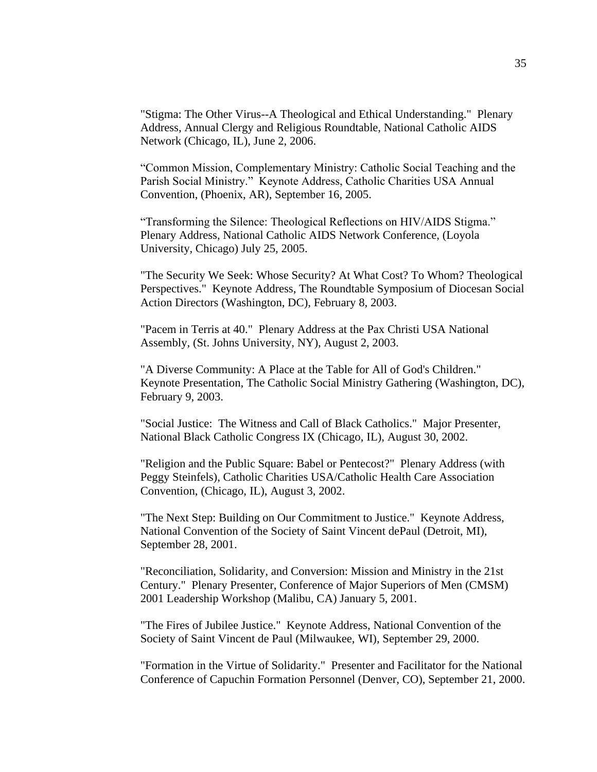"Stigma: The Other Virus--A Theological and Ethical Understanding." Plenary Address, Annual Clergy and Religious Roundtable, National Catholic AIDS Network (Chicago, IL), June 2, 2006.

"Common Mission, Complementary Ministry: Catholic Social Teaching and the Parish Social Ministry." Keynote Address, Catholic Charities USA Annual Convention, (Phoenix, AR), September 16, 2005.

"Transforming the Silence: Theological Reflections on HIV/AIDS Stigma." Plenary Address, National Catholic AIDS Network Conference, (Loyola University, Chicago) July 25, 2005.

"The Security We Seek: Whose Security? At What Cost? To Whom? Theological Perspectives." Keynote Address, The Roundtable Symposium of Diocesan Social Action Directors (Washington, DC), February 8, 2003.

"Pacem in Terris at 40." Plenary Address at the Pax Christi USA National Assembly, (St. Johns University, NY), August 2, 2003.

"A Diverse Community: A Place at the Table for All of God's Children." Keynote Presentation, The Catholic Social Ministry Gathering (Washington, DC), February 9, 2003.

"Social Justice: The Witness and Call of Black Catholics." Major Presenter, National Black Catholic Congress IX (Chicago, IL), August 30, 2002.

"Religion and the Public Square: Babel or Pentecost?" Plenary Address (with Peggy Steinfels), Catholic Charities USA/Catholic Health Care Association Convention, (Chicago, IL), August 3, 2002.

"The Next Step: Building on Our Commitment to Justice." Keynote Address, National Convention of the Society of Saint Vincent dePaul (Detroit, MI), September 28, 2001.

"Reconciliation, Solidarity, and Conversion: Mission and Ministry in the 21st Century." Plenary Presenter, Conference of Major Superiors of Men (CMSM) 2001 Leadership Workshop (Malibu, CA) January 5, 2001.

"The Fires of Jubilee Justice." Keynote Address, National Convention of the Society of Saint Vincent de Paul (Milwaukee, WI), September 29, 2000.

"Formation in the Virtue of Solidarity." Presenter and Facilitator for the National Conference of Capuchin Formation Personnel (Denver, CO), September 21, 2000.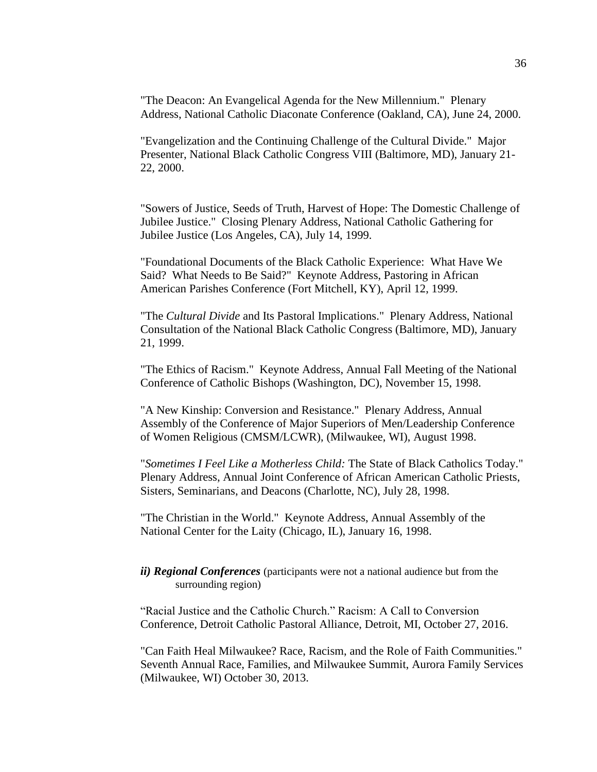"The Deacon: An Evangelical Agenda for the New Millennium." Plenary Address, National Catholic Diaconate Conference (Oakland, CA), June 24, 2000.

"Evangelization and the Continuing Challenge of the Cultural Divide." Major Presenter, National Black Catholic Congress VIII (Baltimore, MD), January 21- 22, 2000.

"Sowers of Justice, Seeds of Truth, Harvest of Hope: The Domestic Challenge of Jubilee Justice." Closing Plenary Address, National Catholic Gathering for Jubilee Justice (Los Angeles, CA), July 14, 1999.

"Foundational Documents of the Black Catholic Experience: What Have We Said? What Needs to Be Said?" Keynote Address, Pastoring in African American Parishes Conference (Fort Mitchell, KY), April 12, 1999.

"The *Cultural Divide* and Its Pastoral Implications." Plenary Address, National Consultation of the National Black Catholic Congress (Baltimore, MD), January 21, 1999.

"The Ethics of Racism." Keynote Address, Annual Fall Meeting of the National Conference of Catholic Bishops (Washington, DC), November 15, 1998.

"A New Kinship: Conversion and Resistance." Plenary Address, Annual Assembly of the Conference of Major Superiors of Men/Leadership Conference of Women Religious (CMSM/LCWR), (Milwaukee, WI), August 1998.

"*Sometimes I Feel Like a Motherless Child:* The State of Black Catholics Today." Plenary Address, Annual Joint Conference of African American Catholic Priests, Sisters, Seminarians, and Deacons (Charlotte, NC), July 28, 1998.

"The Christian in the World." Keynote Address, Annual Assembly of the National Center for the Laity (Chicago, IL), January 16, 1998.

### *ii) Regional Conferences* (participants were not a national audience but from the surrounding region)

"Racial Justice and the Catholic Church." Racism: A Call to Conversion Conference, Detroit Catholic Pastoral Alliance, Detroit, MI, October 27, 2016.

"Can Faith Heal Milwaukee? Race, Racism, and the Role of Faith Communities." Seventh Annual Race, Families, and Milwaukee Summit, Aurora Family Services (Milwaukee, WI) October 30, 2013.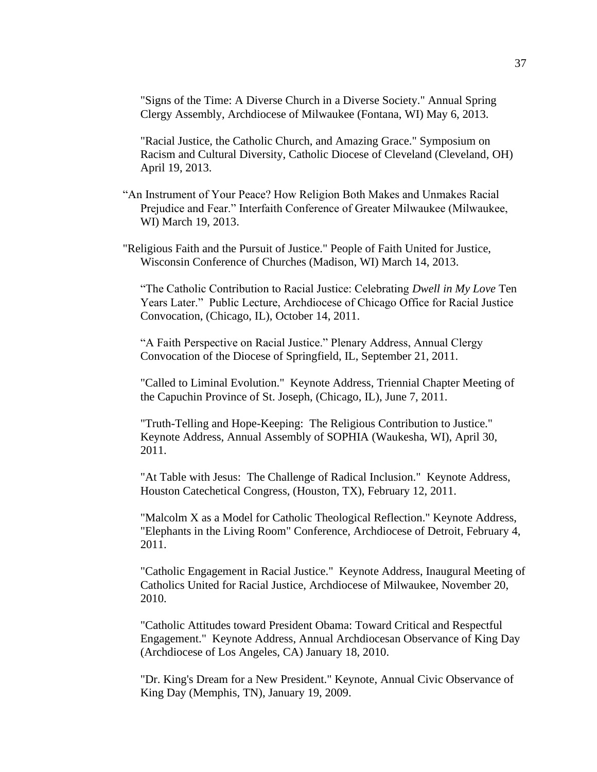"Signs of the Time: A Diverse Church in a Diverse Society." Annual Spring Clergy Assembly, Archdiocese of Milwaukee (Fontana, WI) May 6, 2013.

"Racial Justice, the Catholic Church, and Amazing Grace." Symposium on Racism and Cultural Diversity, Catholic Diocese of Cleveland (Cleveland, OH) April 19, 2013.

- "An Instrument of Your Peace? How Religion Both Makes and Unmakes Racial Prejudice and Fear." Interfaith Conference of Greater Milwaukee (Milwaukee, WI) March 19, 2013.
- "Religious Faith and the Pursuit of Justice." People of Faith United for Justice, Wisconsin Conference of Churches (Madison, WI) March 14, 2013.

"The Catholic Contribution to Racial Justice: Celebrating *Dwell in My Love* Ten Years Later." Public Lecture, Archdiocese of Chicago Office for Racial Justice Convocation, (Chicago, IL), October 14, 2011.

"A Faith Perspective on Racial Justice." Plenary Address, Annual Clergy Convocation of the Diocese of Springfield, IL, September 21, 2011.

"Called to Liminal Evolution." Keynote Address, Triennial Chapter Meeting of the Capuchin Province of St. Joseph, (Chicago, IL), June 7, 2011.

"Truth-Telling and Hope-Keeping: The Religious Contribution to Justice." Keynote Address, Annual Assembly of SOPHIA (Waukesha, WI), April 30, 2011.

"At Table with Jesus: The Challenge of Radical Inclusion." Keynote Address, Houston Catechetical Congress, (Houston, TX), February 12, 2011.

"Malcolm X as a Model for Catholic Theological Reflection." Keynote Address, "Elephants in the Living Room" Conference, Archdiocese of Detroit, February 4, 2011.

"Catholic Engagement in Racial Justice." Keynote Address, Inaugural Meeting of Catholics United for Racial Justice, Archdiocese of Milwaukee, November 20, 2010.

"Catholic Attitudes toward President Obama: Toward Critical and Respectful Engagement." Keynote Address, Annual Archdiocesan Observance of King Day (Archdiocese of Los Angeles, CA) January 18, 2010.

"Dr. King's Dream for a New President." Keynote, Annual Civic Observance of King Day (Memphis, TN), January 19, 2009.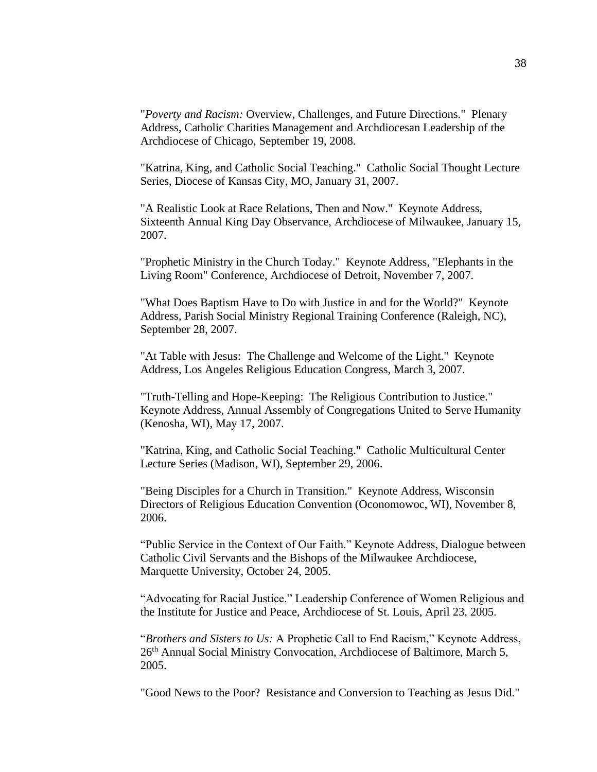"*Poverty and Racism:* Overview, Challenges, and Future Directions." Plenary Address, Catholic Charities Management and Archdiocesan Leadership of the Archdiocese of Chicago, September 19, 2008.

"Katrina, King, and Catholic Social Teaching." Catholic Social Thought Lecture Series, Diocese of Kansas City, MO, January 31, 2007.

"A Realistic Look at Race Relations, Then and Now." Keynote Address, Sixteenth Annual King Day Observance, Archdiocese of Milwaukee, January 15, 2007.

"Prophetic Ministry in the Church Today." Keynote Address, "Elephants in the Living Room" Conference, Archdiocese of Detroit, November 7, 2007.

"What Does Baptism Have to Do with Justice in and for the World?" Keynote Address, Parish Social Ministry Regional Training Conference (Raleigh, NC), September 28, 2007.

"At Table with Jesus: The Challenge and Welcome of the Light." Keynote Address, Los Angeles Religious Education Congress, March 3, 2007.

"Truth-Telling and Hope-Keeping: The Religious Contribution to Justice." Keynote Address, Annual Assembly of Congregations United to Serve Humanity (Kenosha, WI), May 17, 2007.

"Katrina, King, and Catholic Social Teaching." Catholic Multicultural Center Lecture Series (Madison, WI), September 29, 2006.

"Being Disciples for a Church in Transition." Keynote Address, Wisconsin Directors of Religious Education Convention (Oconomowoc, WI), November 8, 2006.

"Public Service in the Context of Our Faith." Keynote Address, Dialogue between Catholic Civil Servants and the Bishops of the Milwaukee Archdiocese, Marquette University, October 24, 2005.

"Advocating for Racial Justice." Leadership Conference of Women Religious and the Institute for Justice and Peace, Archdiocese of St. Louis, April 23, 2005.

"*Brothers and Sisters to Us:* A Prophetic Call to End Racism," Keynote Address, 26<sup>th</sup> Annual Social Ministry Convocation, Archdiocese of Baltimore, March 5, 2005.

"Good News to the Poor? Resistance and Conversion to Teaching as Jesus Did."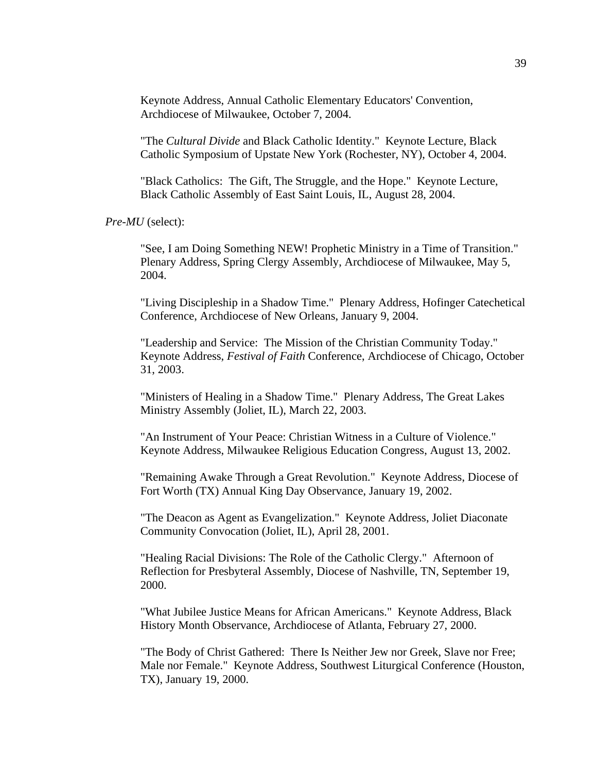Keynote Address, Annual Catholic Elementary Educators' Convention, Archdiocese of Milwaukee, October 7, 2004.

"The *Cultural Divide* and Black Catholic Identity." Keynote Lecture, Black Catholic Symposium of Upstate New York (Rochester, NY), October 4, 2004.

"Black Catholics: The Gift, The Struggle, and the Hope." Keynote Lecture, Black Catholic Assembly of East Saint Louis, IL, August 28, 2004.

*Pre-MU* (select):

"See, I am Doing Something NEW! Prophetic Ministry in a Time of Transition." Plenary Address, Spring Clergy Assembly, Archdiocese of Milwaukee, May 5, 2004.

"Living Discipleship in a Shadow Time." Plenary Address, Hofinger Catechetical Conference, Archdiocese of New Orleans, January 9, 2004.

"Leadership and Service: The Mission of the Christian Community Today." Keynote Address, *Festival of Faith* Conference, Archdiocese of Chicago, October 31, 2003.

"Ministers of Healing in a Shadow Time." Plenary Address, The Great Lakes Ministry Assembly (Joliet, IL), March 22, 2003.

"An Instrument of Your Peace: Christian Witness in a Culture of Violence." Keynote Address, Milwaukee Religious Education Congress, August 13, 2002.

"Remaining Awake Through a Great Revolution." Keynote Address, Diocese of Fort Worth (TX) Annual King Day Observance, January 19, 2002.

"The Deacon as Agent as Evangelization." Keynote Address, Joliet Diaconate Community Convocation (Joliet, IL), April 28, 2001.

"Healing Racial Divisions: The Role of the Catholic Clergy." Afternoon of Reflection for Presbyteral Assembly, Diocese of Nashville, TN, September 19, 2000.

"What Jubilee Justice Means for African Americans." Keynote Address, Black History Month Observance, Archdiocese of Atlanta, February 27, 2000.

"The Body of Christ Gathered: There Is Neither Jew nor Greek, Slave nor Free; Male nor Female." Keynote Address, Southwest Liturgical Conference (Houston, TX), January 19, 2000.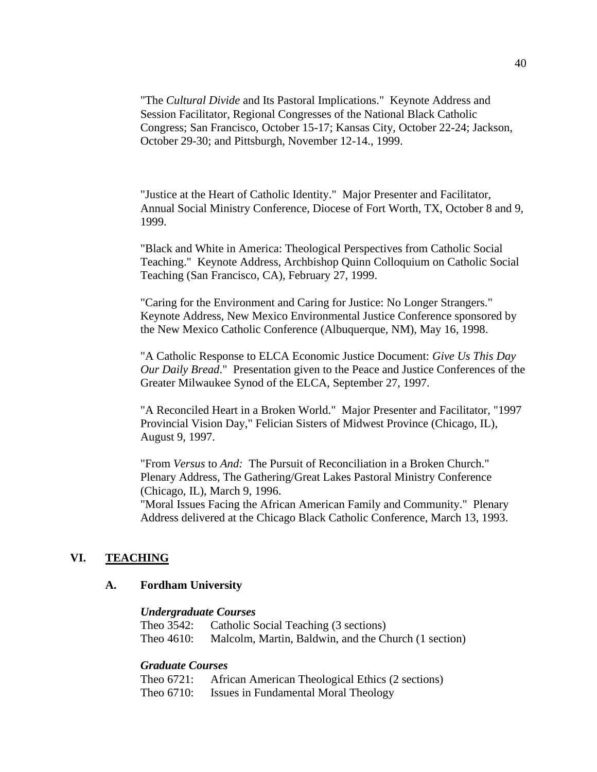"The *Cultural Divide* and Its Pastoral Implications." Keynote Address and Session Facilitator, Regional Congresses of the National Black Catholic Congress; San Francisco, October 15-17; Kansas City, October 22-24; Jackson, October 29-30; and Pittsburgh, November 12-14., 1999.

"Justice at the Heart of Catholic Identity." Major Presenter and Facilitator, Annual Social Ministry Conference, Diocese of Fort Worth, TX, October 8 and 9, 1999.

"Black and White in America: Theological Perspectives from Catholic Social Teaching." Keynote Address, Archbishop Quinn Colloquium on Catholic Social Teaching (San Francisco, CA), February 27, 1999.

"Caring for the Environment and Caring for Justice: No Longer Strangers." Keynote Address, New Mexico Environmental Justice Conference sponsored by the New Mexico Catholic Conference (Albuquerque, NM), May 16, 1998.

"A Catholic Response to ELCA Economic Justice Document: *Give Us This Day Our Daily Bread*." Presentation given to the Peace and Justice Conferences of the Greater Milwaukee Synod of the ELCA, September 27, 1997.

"A Reconciled Heart in a Broken World." Major Presenter and Facilitator, "1997 Provincial Vision Day," Felician Sisters of Midwest Province (Chicago, IL), August 9, 1997.

"From *Versus* to *And:* The Pursuit of Reconciliation in a Broken Church." Plenary Address, The Gathering/Great Lakes Pastoral Ministry Conference (Chicago, IL), March 9, 1996.

"Moral Issues Facing the African American Family and Community." Plenary Address delivered at the Chicago Black Catholic Conference, March 13, 1993.

## **VI. TEACHING**

## **A. Fordham University**

#### *Undergraduate Courses*

Theo 3542: Catholic Social Teaching (3 sections) Theo 4610: Malcolm, Martin, Baldwin, and the Church (1 section)

## *Graduate Courses*

| Theo 6721: | African American Theological Ethics (2 sections) |
|------------|--------------------------------------------------|
| Theo 6710: | Issues in Fundamental Moral Theology             |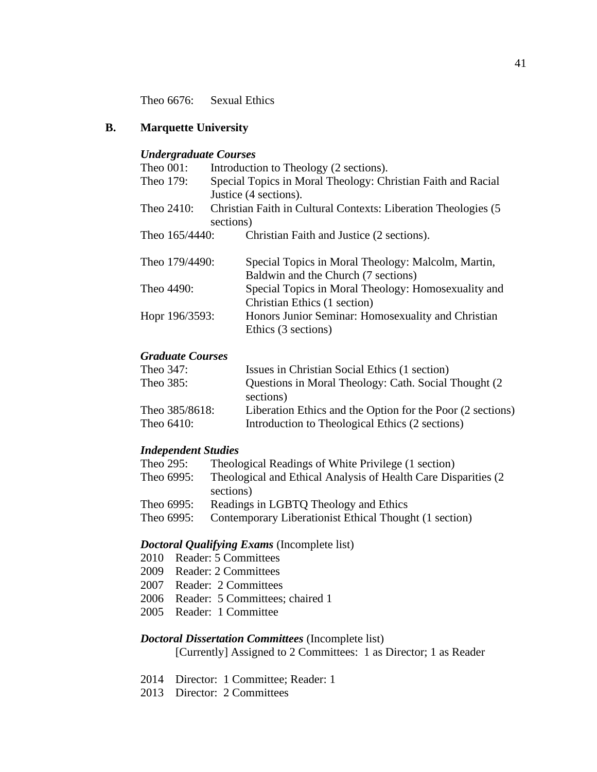Theo 6676: Sexual Ethics

## **B. Marquette University**

#### *Undergraduate Courses*

| Theo $001$ :   | Introduction to Theology (2 sections).                          |
|----------------|-----------------------------------------------------------------|
| Theo 179:      | Special Topics in Moral Theology: Christian Faith and Racial    |
|                | Justice (4 sections).                                           |
| Theo $2410$ :  | Christian Faith in Cultural Contexts: Liberation Theologies (5) |
|                | sections)                                                       |
| Theo 165/4440: | Christian Faith and Justice (2 sections).                       |
|                |                                                                 |
| Theo 179/4490: | Special Topics in Moral Theology: Malcolm, Martin,              |
|                | Baldwin and the Church (7 sections)                             |
| Theo 4490:     | Special Topics in Moral Theology: Homosexuality and             |
|                | Christian Ethics (1 section)                                    |
| Hopr 196/3593: | Honors Junior Seminar: Homosexuality and Christian              |
|                | Ethics (3 sections)                                             |

## *Graduate Courses*

| Theo 347:      | Issues in Christian Social Ethics (1 section)              |
|----------------|------------------------------------------------------------|
| Theo 385:      | Questions in Moral Theology: Cath. Social Thought (2)      |
|                | sections)                                                  |
| Theo 385/8618: | Liberation Ethics and the Option for the Poor (2 sections) |
| Theo $6410$ :  | Introduction to Theological Ethics (2 sections)            |
|                |                                                            |

## *Independent Studies*

| Theo 295:  | Theological Readings of White Privilege (1 section)             |
|------------|-----------------------------------------------------------------|
| Theo 6995: | Theological and Ethical Analysis of Health Care Disparities (2) |
|            | sections)                                                       |
| Theo 6995: | Readings in LGBTQ Theology and Ethics                           |
| Theo 6995: | Contemporary Liberationist Ethical Thought (1 section)          |

## *Doctoral Qualifying Exams* (Incomplete list)

- 2010 Reader: 5 Committees
- 2009 Reader: 2 Committees
- 2007 Reader: 2 Committees
- 2006 Reader: 5 Committees; chaired 1
- 2005 Reader: 1 Committee

## *Doctoral Dissertation Committees* (Incomplete list)

[Currently] Assigned to 2 Committees: 1 as Director; 1 as Reader

- 2014 Director: 1 Committee; Reader: 1
- 2013 Director: 2 Committees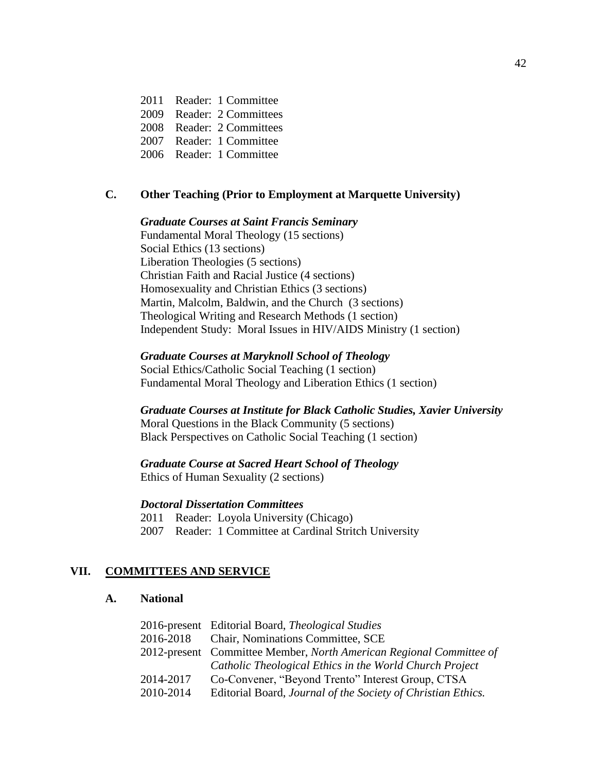2011 Reader: 1 Committee 2009 Reader: 2 Committees

2008 Reader: 2 Committees

2007 Reader: 1 Committee

2006 Reader: 1 Committee

## **C. Other Teaching (Prior to Employment at Marquette University)**

#### *Graduate Courses at Saint Francis Seminary*

Fundamental Moral Theology (15 sections) Social Ethics (13 sections) Liberation Theologies (5 sections) Christian Faith and Racial Justice (4 sections) Homosexuality and Christian Ethics (3 sections) Martin, Malcolm, Baldwin, and the Church (3 sections) Theological Writing and Research Methods (1 section) Independent Study: Moral Issues in HIV/AIDS Ministry (1 section)

*Graduate Courses at Maryknoll School of Theology*

Social Ethics/Catholic Social Teaching (1 section) Fundamental Moral Theology and Liberation Ethics (1 section)

#### *Graduate Courses at Institute for Black Catholic Studies, Xavier University*

Moral Questions in the Black Community (5 sections) Black Perspectives on Catholic Social Teaching (1 section)

#### *Graduate Course at Sacred Heart School of Theology*

Ethics of Human Sexuality (2 sections)

### *Doctoral Dissertation Committees*

2011 Reader: Loyola University (Chicago)

2007 Reader: 1 Committee at Cardinal Stritch University

#### **VII. COMMITTEES AND SERVICE**

#### **A. National**

|           | 2016-present Editorial Board, Theological Studies                   |
|-----------|---------------------------------------------------------------------|
|           | 2016-2018 Chair, Nominations Committee, SCE                         |
|           | 2012-present Committee Member, North American Regional Committee of |
|           | Catholic Theological Ethics in the World Church Project             |
| 2014-2017 | Co-Convener, "Beyond Trento" Interest Group, CTSA                   |
| 2010-2014 | Editorial Board, Journal of the Society of Christian Ethics.        |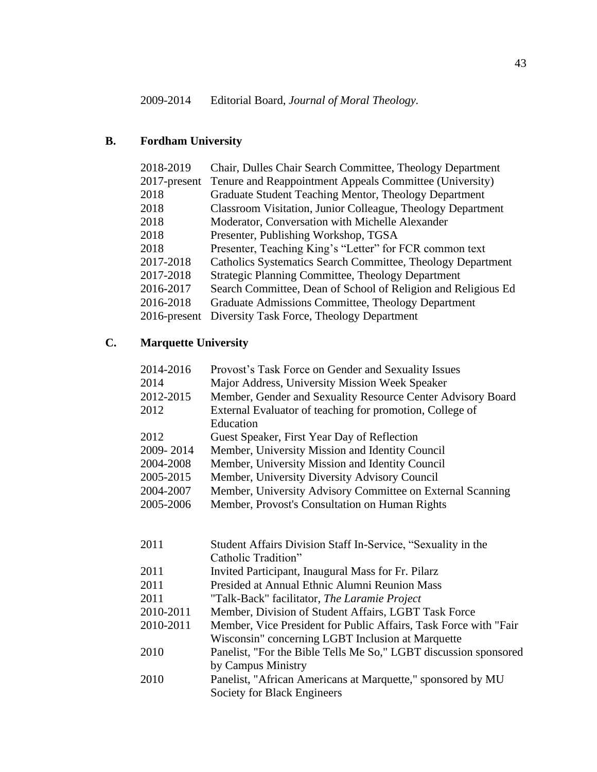# **B. Fordham University**

| 2018-2019       | Chair, Dulles Chair Search Committee, Theology Department     |
|-----------------|---------------------------------------------------------------|
| $2017$ -present | Tenure and Reappointment Appeals Committee (University)       |
| 2018            | Graduate Student Teaching Mentor, Theology Department         |
| 2018            | Classroom Visitation, Junior Colleague, Theology Department   |
| 2018            | Moderator, Conversation with Michelle Alexander               |
| 2018            | Presenter, Publishing Workshop, TGSA                          |
| 2018            | Presenter, Teaching King's "Letter" for FCR common text       |
| 2017-2018       | Catholics Systematics Search Committee, Theology Department   |
| 2017-2018       | <b>Strategic Planning Committee, Theology Department</b>      |
| 2016-2017       | Search Committee, Dean of School of Religion and Religious Ed |
| 2016-2018       | Graduate Admissions Committee, Theology Department            |
| $2016$ -present | Diversity Task Force, Theology Department                     |

# **C. Marquette University**

| 2014-2016 | Provost's Task Force on Gender and Sexuality Issues         |
|-----------|-------------------------------------------------------------|
| 2014      | Major Address, University Mission Week Speaker              |
| 2012-2015 | Member, Gender and Sexuality Resource Center Advisory Board |
| 2012      | External Evaluator of teaching for promotion, College of    |
|           | Education                                                   |
| 2012      | Guest Speaker, First Year Day of Reflection                 |
| 2009-2014 | Member, University Mission and Identity Council             |
| 2004-2008 | Member, University Mission and Identity Council             |
| 2005-2015 | Member, University Diversity Advisory Council               |
| 2004-2007 | Member, University Advisory Committee on External Scanning  |
| 2005-2006 | Member, Provost's Consultation on Human Rights              |
|           |                                                             |

| 2011      | Student Affairs Division Staff In-Service, "Sexuality in the     |
|-----------|------------------------------------------------------------------|
|           | Catholic Tradition"                                              |
| 2011      | Invited Participant, Inaugural Mass for Fr. Pilarz               |
| 2011      | Presided at Annual Ethnic Alumni Reunion Mass                    |
| 2011      | "Talk-Back" facilitator, The Laramie Project                     |
| 2010-2011 | Member, Division of Student Affairs, LGBT Task Force             |
| 2010-2011 | Member, Vice President for Public Affairs, Task Force with "Fair |
|           | Wisconsin" concerning LGBT Inclusion at Marquette                |
| 2010      | Panelist, "For the Bible Tells Me So," LGBT discussion sponsored |
|           | by Campus Ministry                                               |
| 2010      | Panelist, "African Americans at Marquette," sponsored by MU      |
|           | Society for Black Engineers                                      |
|           |                                                                  |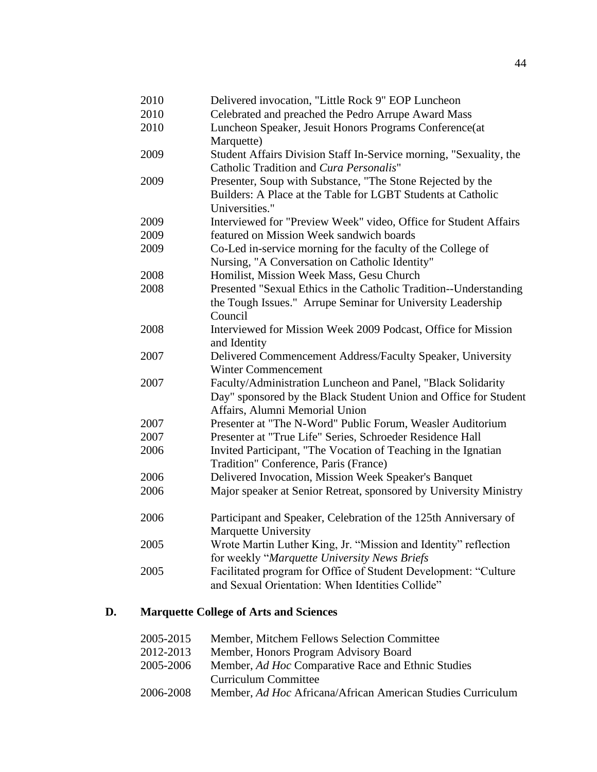| 2010<br>2010<br>2010 | Delivered invocation, "Little Rock 9" EOP Luncheon<br>Celebrated and preached the Pedro Arrupe Award Mass<br>Luncheon Speaker, Jesuit Honors Programs Conference(at |
|----------------------|---------------------------------------------------------------------------------------------------------------------------------------------------------------------|
|                      | Marquette)                                                                                                                                                          |
| 2009                 | Student Affairs Division Staff In-Service morning, "Sexuality, the<br>Catholic Tradition and Cura Personalis"                                                       |
| 2009                 | Presenter, Soup with Substance, "The Stone Rejected by the<br>Builders: A Place at the Table for LGBT Students at Catholic<br>Universities."                        |
| 2009                 | Interviewed for "Preview Week" video, Office for Student Affairs                                                                                                    |
| 2009                 | featured on Mission Week sandwich boards                                                                                                                            |
| 2009                 | Co-Led in-service morning for the faculty of the College of<br>Nursing, "A Conversation on Catholic Identity"                                                       |
| 2008                 | Homilist, Mission Week Mass, Gesu Church                                                                                                                            |
| 2008                 | Presented "Sexual Ethics in the Catholic Tradition--Understanding                                                                                                   |
|                      | the Tough Issues." Arrupe Seminar for University Leadership<br>Council                                                                                              |
| 2008                 | Interviewed for Mission Week 2009 Podcast, Office for Mission<br>and Identity                                                                                       |
| 2007                 | Delivered Commencement Address/Faculty Speaker, University<br><b>Winter Commencement</b>                                                                            |
| 2007                 | Faculty/Administration Luncheon and Panel, "Black Solidarity<br>Day" sponsored by the Black Student Union and Office for Student<br>Affairs, Alumni Memorial Union  |
| 2007                 | Presenter at "The N-Word" Public Forum, Weasler Auditorium                                                                                                          |
| 2007                 | Presenter at "True Life" Series, Schroeder Residence Hall                                                                                                           |
| 2006                 | Invited Participant, "The Vocation of Teaching in the Ignatian<br>Tradition" Conference, Paris (France)                                                             |
| 2006                 | Delivered Invocation, Mission Week Speaker's Banquet                                                                                                                |
| 2006                 | Major speaker at Senior Retreat, sponsored by University Ministry                                                                                                   |
| 2006                 | Participant and Speaker, Celebration of the 125th Anniversary of<br>Marquette University                                                                            |
| 2005                 | Wrote Martin Luther King, Jr. "Mission and Identity" reflection<br>for weekly "Marquette University News Briefs                                                     |
| 2005                 | Facilitated program for Office of Student Development: "Culture<br>and Sexual Orientation: When Identities Collide"                                                 |
|                      |                                                                                                                                                                     |

## **D. Marquette College of Arts and Sciences**

| 2005-2015 | Member, Mitchem Fellows Selection Committee                 |
|-----------|-------------------------------------------------------------|
| 2012-2013 | Member, Honors Program Advisory Board                       |
| 2005-2006 | Member, Ad Hoc Comparative Race and Ethnic Studies          |
|           | Curriculum Committee                                        |
| 2006-2008 | Member, Ad Hoc Africana/African American Studies Curriculum |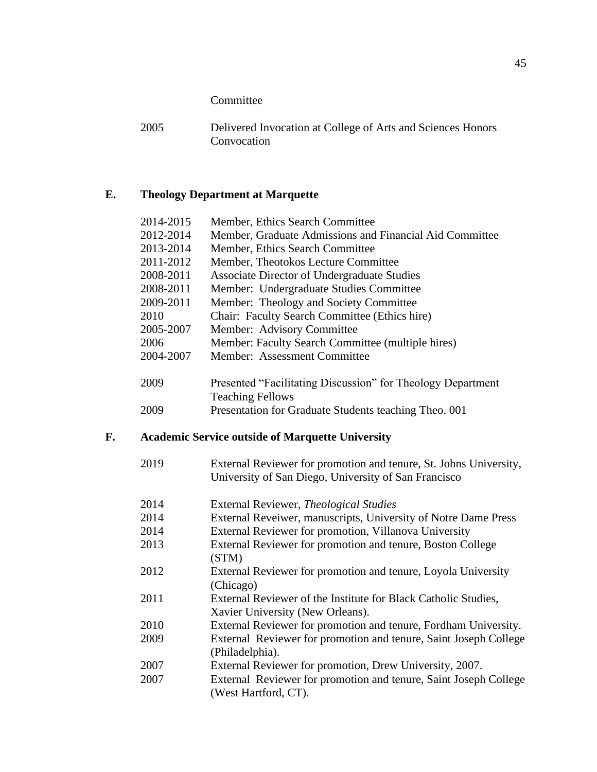Committee

# **E. Theology Department at Marquette**

|    | 2014-2015 | Member, Ethics Search Committee                                                                                           |
|----|-----------|---------------------------------------------------------------------------------------------------------------------------|
|    | 2012-2014 | Member, Graduate Admissions and Financial Aid Committee                                                                   |
|    | 2013-2014 | Member, Ethics Search Committee                                                                                           |
|    | 2011-2012 | Member, Theotokos Lecture Committee                                                                                       |
|    | 2008-2011 | Associate Director of Undergraduate Studies                                                                               |
|    | 2008-2011 | Member: Undergraduate Studies Committee                                                                                   |
|    | 2009-2011 | Member: Theology and Society Committee                                                                                    |
|    | 2010      | Chair: Faculty Search Committee (Ethics hire)                                                                             |
|    | 2005-2007 | Member: Advisory Committee                                                                                                |
|    | 2006      | Member: Faculty Search Committee (multiple hires)                                                                         |
|    | 2004-2007 | Member: Assessment Committee                                                                                              |
|    | 2009      | Presented "Facilitating Discussion" for Theology Department<br><b>Teaching Fellows</b>                                    |
|    | 2009      | Presentation for Graduate Students teaching Theo. 001                                                                     |
| F. |           | <b>Academic Service outside of Marquette University</b>                                                                   |
|    | 2019      | External Reviewer for promotion and tenure, St. Johns University,<br>University of San Diego, University of San Francisco |
|    | 2014      | External Reviewer, Theological Studies                                                                                    |
|    | 2014      | External Reveiwer, manuscripts, University of Notre Dame Press                                                            |
|    | 2014      | External Reviewer for promotion, Villanova University                                                                     |
|    | 2013      | External Reviewer for promotion and tenure, Boston College<br>(STM)                                                       |
|    | 2012      | External Reviewer for promotion and tenure, Loyola University<br>(Chicago)                                                |
|    | 2011      | External Reviewer of the Institute for Black Catholic Studies,<br>Xavier University (New Orleans).                        |
|    | 2010      | External Reviewer for promotion and tenure, Fordham University.                                                           |
|    | 2009      | External Reviewer for promotion and tenure, Saint Joseph College                                                          |
|    |           | (Philadelphia).                                                                                                           |
|    | 2007      | External Reviewer for promotion, Drew University, 2007.                                                                   |
|    | 2007      | External Reviewer for promotion and tenure, Saint Joseph College<br>(West Hartford, CT).                                  |
|    |           |                                                                                                                           |

<sup>2005</sup> Delivered Invocation at College of Arts and Sciences Honors Convocation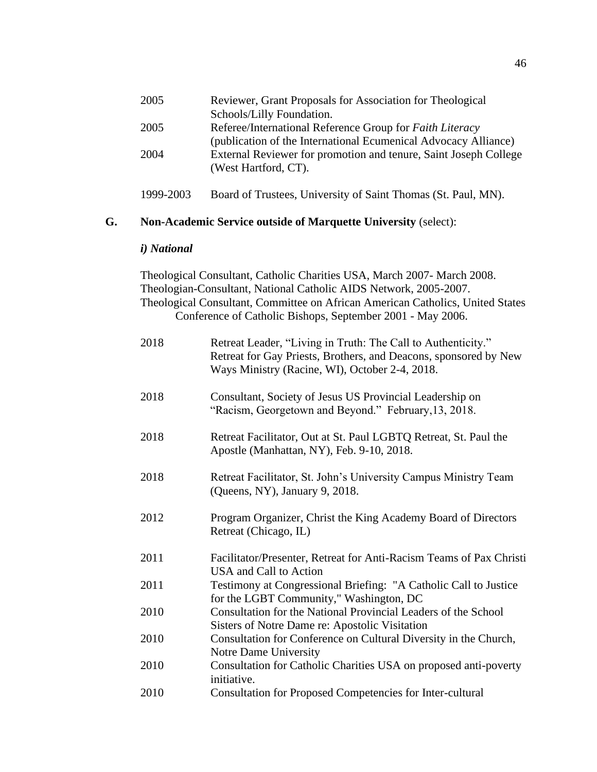|    | 2005                                                                  | Reviewer, Grant Proposals for Association for Theological<br>Schools/Lilly Foundation.                                                                                                                                                                                                       |  |
|----|-----------------------------------------------------------------------|----------------------------------------------------------------------------------------------------------------------------------------------------------------------------------------------------------------------------------------------------------------------------------------------|--|
|    | 2005                                                                  | Referee/International Reference Group for Faith Literacy                                                                                                                                                                                                                                     |  |
|    |                                                                       | (publication of the International Ecumenical Advocacy Alliance)                                                                                                                                                                                                                              |  |
|    | 2004                                                                  | External Reviewer for promotion and tenure, Saint Joseph College<br>(West Hartford, CT).                                                                                                                                                                                                     |  |
|    | 1999-2003                                                             | Board of Trustees, University of Saint Thomas (St. Paul, MN).                                                                                                                                                                                                                                |  |
| G. | <b>Non-Academic Service outside of Marquette University (select):</b> |                                                                                                                                                                                                                                                                                              |  |
|    | i) National                                                           |                                                                                                                                                                                                                                                                                              |  |
|    |                                                                       | Theological Consultant, Catholic Charities USA, March 2007- March 2008.<br>Theologian-Consultant, National Catholic AIDS Network, 2005-2007.<br>Theological Consultant, Committee on African American Catholics, United States<br>Conference of Catholic Bishops, September 2001 - May 2006. |  |
|    | 2018                                                                  | Retreat Leader, "Living in Truth: The Call to Authenticity."<br>Retreat for Gay Priests, Brothers, and Deacons, sponsored by New<br>Ways Ministry (Racine, WI), October 2-4, 2018.                                                                                                           |  |
|    | 2018                                                                  | Consultant, Society of Jesus US Provincial Leadership on<br>"Racism, Georgetown and Beyond." February, 13, 2018.                                                                                                                                                                             |  |
|    | 2018                                                                  | Retreat Facilitator, Out at St. Paul LGBTQ Retreat, St. Paul the<br>Apostle (Manhattan, NY), Feb. 9-10, 2018.                                                                                                                                                                                |  |
|    | 2018                                                                  | Retreat Facilitator, St. John's University Campus Ministry Team<br>(Queens, NY), January 9, 2018.                                                                                                                                                                                            |  |
|    | 2012                                                                  | Program Organizer, Christ the King Academy Board of Directors<br>Retreat (Chicago, IL)                                                                                                                                                                                                       |  |
|    | 2011                                                                  | Facilitator/Presenter, Retreat for Anti-Racism Teams of Pax Christi<br>USA and Call to Action                                                                                                                                                                                                |  |
|    | 2011                                                                  | Testimony at Congressional Briefing: "A Catholic Call to Justice<br>for the LGBT Community," Washington, DC                                                                                                                                                                                  |  |
|    | 2010                                                                  | Consultation for the National Provincial Leaders of the School<br>Sisters of Notre Dame re: Apostolic Visitation                                                                                                                                                                             |  |
|    | 2010                                                                  | Consultation for Conference on Cultural Diversity in the Church,<br>Notre Dame University                                                                                                                                                                                                    |  |
|    | $\mathbf{2010}$                                                       | $CL$ $M$ $\sim$ $M$ $\sim$ $T$ $T$ $R$ $A$                                                                                                                                                                                                                                                   |  |

- 2010 Consultation for Catholic Charities USA on proposed anti-poverty initiative.
- 2010 Consultation for Proposed Competencies for Inter-cultural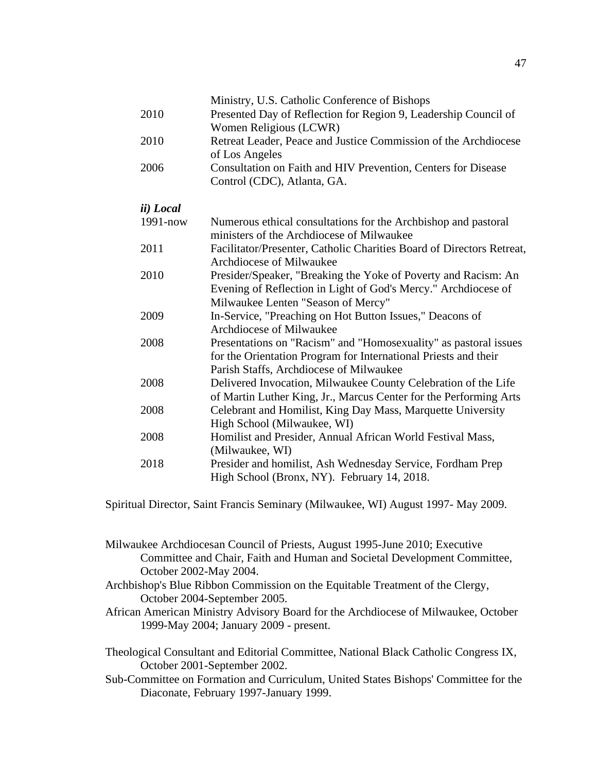|                   | Ministry, U.S. Catholic Conference of Bishops                         |
|-------------------|-----------------------------------------------------------------------|
| 2010              | Presented Day of Reflection for Region 9, Leadership Council of       |
|                   | Women Religious (LCWR)                                                |
| 2010              | Retreat Leader, Peace and Justice Commission of the Archdiocese       |
|                   | of Los Angeles                                                        |
| 2006              | Consultation on Faith and HIV Prevention, Centers for Disease         |
|                   | Control (CDC), Atlanta, GA.                                           |
| <i>ii</i> ) Local |                                                                       |
| $1991 - now$      | Numerous ethical consultations for the Archbishop and pastoral        |
|                   | ministers of the Archdiocese of Milwaukee                             |
| 2011              | Facilitator/Presenter, Catholic Charities Board of Directors Retreat, |
|                   | Archdiocese of Milwaukee                                              |
| 2010              | Presider/Speaker, "Breaking the Yoke of Poverty and Racism: An        |
|                   | Evening of Reflection in Light of God's Mercy." Archdiocese of        |
|                   | Milwaukee Lenten "Season of Mercy"                                    |
| 2009              | In-Service, "Preaching on Hot Button Issues," Deacons of              |
|                   | Archdiocese of Milwaukee                                              |
| 2008              | Presentations on "Racism" and "Homosexuality" as pastoral issues      |
|                   | for the Orientation Program for International Priests and their       |
|                   | Parish Staffs, Archdiocese of Milwaukee                               |
| 2008              | Delivered Invocation, Milwaukee County Celebration of the Life        |
|                   | of Martin Luther King, Jr., Marcus Center for the Performing Arts     |
| 2008              | Celebrant and Homilist, King Day Mass, Marquette University           |
|                   | High School (Milwaukee, WI)                                           |
| 2008              | Homilist and Presider, Annual African World Festival Mass,            |
|                   | (Milwaukee, WI)                                                       |
| 2018              | Presider and homilist, Ash Wednesday Service, Fordham Prep            |
|                   | High School (Bronx, NY). February 14, 2018.                           |

Spiritual Director, Saint Francis Seminary (Milwaukee, WI) August 1997- May 2009.

Milwaukee Archdiocesan Council of Priests, August 1995-June 2010; Executive Committee and Chair, Faith and Human and Societal Development Committee, October 2002-May 2004.

- Archbishop's Blue Ribbon Commission on the Equitable Treatment of the Clergy, October 2004-September 2005.
- African American Ministry Advisory Board for the Archdiocese of Milwaukee, October 1999-May 2004; January 2009 - present.

Theological Consultant and Editorial Committee, National Black Catholic Congress IX, October 2001-September 2002.

Sub-Committee on Formation and Curriculum, United States Bishops' Committee for the Diaconate, February 1997-January 1999.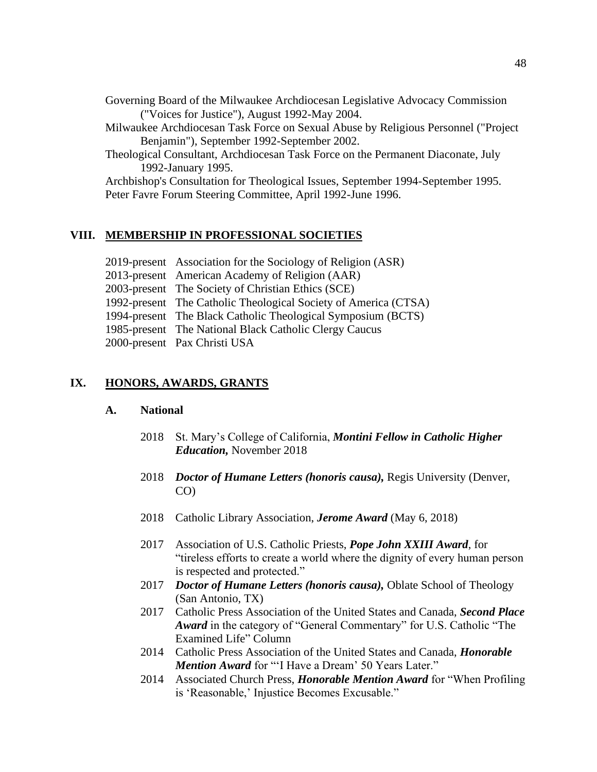Governing Board of the Milwaukee Archdiocesan Legislative Advocacy Commission ("Voices for Justice"), August 1992-May 2004.

Milwaukee Archdiocesan Task Force on Sexual Abuse by Religious Personnel ("Project Benjamin"), September 1992-September 2002.

Theological Consultant, Archdiocesan Task Force on the Permanent Diaconate, July 1992-January 1995.

Archbishop's Consultation for Theological Issues, September 1994-September 1995. Peter Favre Forum Steering Committee, April 1992-June 1996.

## **VIII. MEMBERSHIP IN PROFESSIONAL SOCIETIES**

2019-present Association for the Sociology of Religion (ASR) 2013-present American Academy of Religion (AAR) 2003-present The Society of Christian Ethics (SCE) 1992-present The Catholic Theological Society of America (CTSA) 1994-present The Black Catholic Theological Symposium (BCTS) 1985-present The National Black Catholic Clergy Caucus 2000-present Pax Christi USA

## **IX. HONORS, AWARDS, GRANTS**

#### **A. National**

- 2018 St. Mary's College of California, *Montini Fellow in Catholic Higher Education,* November 2018
- 2018 *Doctor of Humane Letters (honoris causa),* Regis University (Denver, CO)
- 2018 Catholic Library Association, *Jerome Award* (May 6, 2018)
- 2017 Association of U.S. Catholic Priests, *Pope John XXIII Award*, for "tireless efforts to create a world where the dignity of every human person is respected and protected."
- 2017 *Doctor of Humane Letters (honoris causa),* Oblate School of Theology (San Antonio, TX)
- 2017 Catholic Press Association of the United States and Canada, *Second Place Award* in the category of "General Commentary" for U.S. Catholic "The Examined Life" Column
- 2014 Catholic Press Association of the United States and Canada, *Honorable Mention Award* for "'I Have a Dream' 50 Years Later."
- 2014 Associated Church Press, *Honorable Mention Award* for "When Profiling is 'Reasonable,' Injustice Becomes Excusable."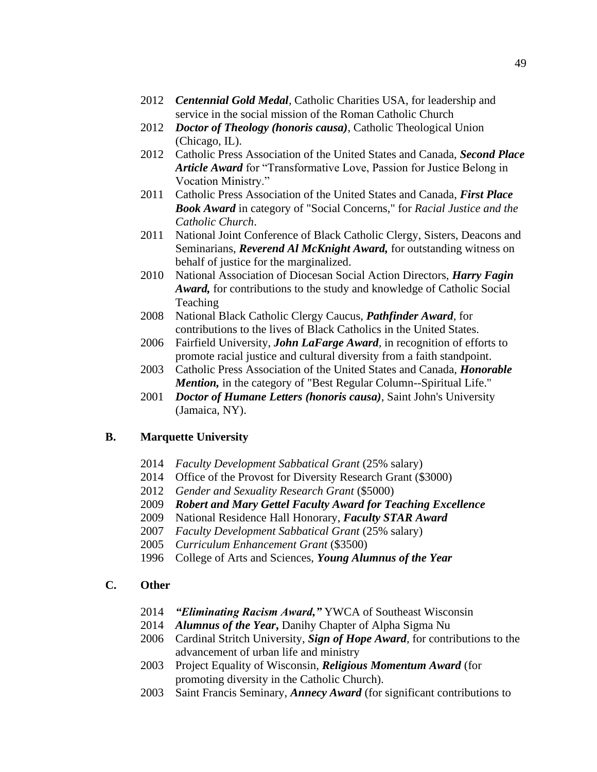- 2012 *Centennial Gold Medal,* Catholic Charities USA, for leadership and service in the social mission of the Roman Catholic Church
- 2012 *Doctor of Theology (honoris causa)*, Catholic Theological Union (Chicago, IL).
- 2012 Catholic Press Association of the United States and Canada, *Second Place Article Award* for "Transformative Love, Passion for Justice Belong in Vocation Ministry."
- 2011 Catholic Press Association of the United States and Canada, *First Place Book Award* in category of "Social Concerns," for *Racial Justice and the Catholic Church*.
- 2011 National Joint Conference of Black Catholic Clergy, Sisters, Deacons and Seminarians, *Reverend Al McKnight Award,* for outstanding witness on behalf of justice for the marginalized.
- 2010 National Association of Diocesan Social Action Directors, *Harry Fagin Award,* for contributions to the study and knowledge of Catholic Social Teaching
- 2008 National Black Catholic Clergy Caucus, *Pathfinder Award*, for contributions to the lives of Black Catholics in the United States.
- 2006 Fairfield University, *John LaFarge Award,* in recognition of efforts to promote racial justice and cultural diversity from a faith standpoint.
- 2003 Catholic Press Association of the United States and Canada, *Honorable Mention*, in the category of "Best Regular Column--Spiritual Life."
- 2001 *Doctor of Humane Letters (honoris causa)*, Saint John's University (Jamaica, NY).

#### **B. Marquette University**

- 2014 *Faculty Development Sabbatical Grant* (25% salary)
- 2014 Office of the Provost for Diversity Research Grant (\$3000)
- 2012 *Gender and Sexuality Research Grant* (\$5000)
- 2009 *Robert and Mary Gettel Faculty Award for Teaching Excellence*
- 2009 National Residence Hall Honorary, *Faculty STAR Award*
- 2007 *Faculty Development Sabbatical Grant* (25% salary)
- 2005 *Curriculum Enhancement Grant* (\$3500)
- 1996 College of Arts and Sciences, *Young Alumnus of the Year*

## **C. Other**

- 2014 *"Eliminating Racism Award,"* YWCA of Southeast Wisconsin
- 2014 *Alumnus of the Year***,** Danihy Chapter of Alpha Sigma Nu
- 2006 Cardinal Stritch University, *Sign of Hope Award,* for contributions to the advancement of urban life and ministry
- 2003 Project Equality of Wisconsin, *Religious Momentum Award* (for promoting diversity in the Catholic Church).
- 2003 Saint Francis Seminary, *Annecy Award* (for significant contributions to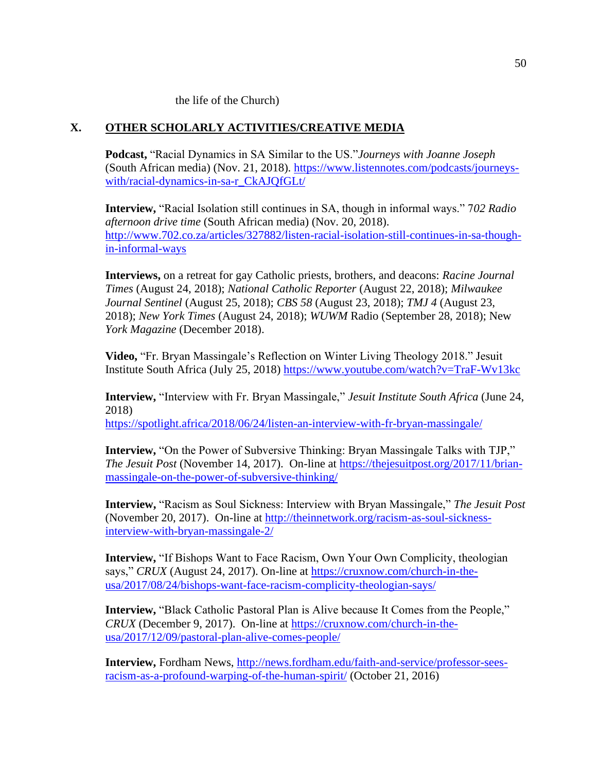the life of the Church)

## **X. OTHER SCHOLARLY ACTIVITIES/CREATIVE MEDIA**

**Podcast,** "Racial Dynamics in SA Similar to the US."*Journeys with Joanne Joseph* (South African media) (Nov. 21, 2018). [https://www.listennotes.com/podcasts/journeys](https://www.listennotes.com/podcasts/journeys-with/racial-dynamics-in-sa-r_CkAJQfGLt/)[with/racial-dynamics-in-sa-r\\_CkAJQfGLt/](https://www.listennotes.com/podcasts/journeys-with/racial-dynamics-in-sa-r_CkAJQfGLt/)

**Interview,** "Racial Isolation still continues in SA, though in informal ways." 7*02 Radio afternoon drive time* (South African media) (Nov. 20, 2018). [http://www.702.co.za/articles/327882/listen-racial-isolation-still-continues-in-sa-though](http://www.702.co.za/articles/327882/listen-racial-isolation-still-continues-in-sa-though-in-informal-ways)[in-informal-ways](http://www.702.co.za/articles/327882/listen-racial-isolation-still-continues-in-sa-though-in-informal-ways)

**Interviews,** on a retreat for gay Catholic priests, brothers, and deacons: *Racine Journal Times* (August 24, 2018); *National Catholic Reporter* (August 22, 2018); *Milwaukee Journal Sentinel* (August 25, 2018); *CBS 58* (August 23, 2018); *TMJ 4* (August 23, 2018); *New York Times* (August 24, 2018); *WUWM* Radio (September 28, 2018); New *York Magazine* (December 2018).

**Video,** "Fr. Bryan Massingale's Reflection on Winter Living Theology 2018." Jesuit Institute South Africa (July 25, 2018)<https://www.youtube.com/watch?v=TraF-Wv13kc>

**Interview,** "Interview with Fr. Bryan Massingale," *Jesuit Institute South Africa* (June 24, 2018)

<https://spotlight.africa/2018/06/24/listen-an-interview-with-fr-bryan-massingale/>

**Interview,** "On the Power of Subversive Thinking: Bryan Massingale Talks with TJP," *The Jesuit Post* (November 14, 2017). On-line at [https://thejesuitpost.org/2017/11/brian](https://thejesuitpost.org/2017/11/brian-massingale-on-the-power-of-subversive-thinking/)[massingale-on-the-power-of-subversive-thinking/](https://thejesuitpost.org/2017/11/brian-massingale-on-the-power-of-subversive-thinking/)

**Interview,** "Racism as Soul Sickness: Interview with Bryan Massingale," *The Jesuit Post* (November 20, 2017). On-line at [http://theinnetwork.org/racism-as-soul-sickness](http://theinnetwork.org/racism-as-soul-sickness-interview-with-bryan-massingale-2/)[interview-with-bryan-massingale-2/](http://theinnetwork.org/racism-as-soul-sickness-interview-with-bryan-massingale-2/)

**Interview,** "If Bishops Want to Face Racism, Own Your Own Complicity, theologian says," *CRUX* (August 24, 2017). On-line at [https://cruxnow.com/church-in-the](https://cruxnow.com/church-in-the-usa/2017/08/24/bishops-want-face-racism-complicity-theologian-says/)[usa/2017/08/24/bishops-want-face-racism-complicity-theologian-says/](https://cruxnow.com/church-in-the-usa/2017/08/24/bishops-want-face-racism-complicity-theologian-says/)

**Interview,** "Black Catholic Pastoral Plan is Alive because It Comes from the People," *CRUX* (December 9, 2017). On-line at [https://cruxnow.com/church-in-the](https://cruxnow.com/church-in-the-usa/2017/12/09/pastoral-plan-alive-comes-people/)[usa/2017/12/09/pastoral-plan-alive-comes-people/](https://cruxnow.com/church-in-the-usa/2017/12/09/pastoral-plan-alive-comes-people/)

**Interview,** Fordham News, [http://news.fordham.edu/faith-and-service/professor-sees](http://news.fordham.edu/faith-and-service/professor-sees-racism-as-a-profound-warping-of-the-human-spirit/)[racism-as-a-profound-warping-of-the-human-spirit/](http://news.fordham.edu/faith-and-service/professor-sees-racism-as-a-profound-warping-of-the-human-spirit/) (October 21, 2016)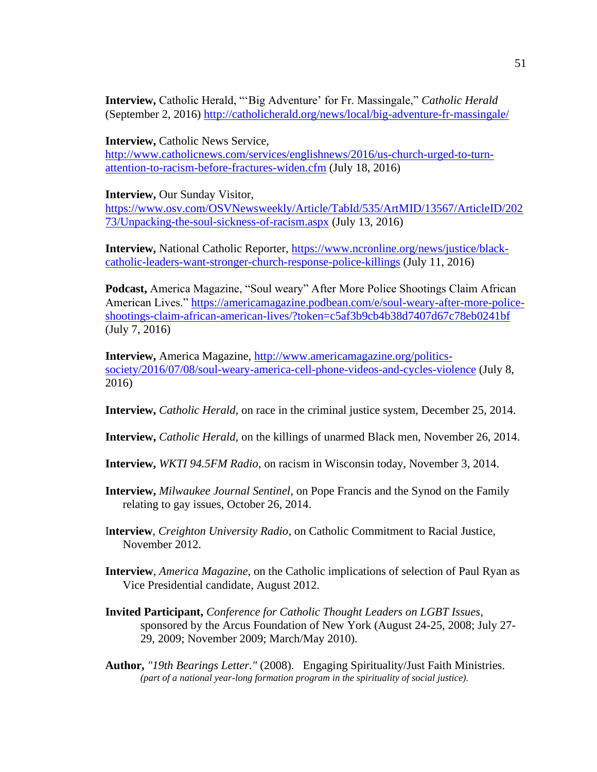**Interview,** Catholic Herald, "'Big Adventure' for Fr. Massingale," *Catholic Herald* (September 2, 2016)<http://catholicherald.org/news/local/big-adventure-fr-massingale/>

**Interview, Catholic News Service,** 

[http://www.catholicnews.com/services/englishnews/2016/us-church-urged-to-turn](http://www.catholicnews.com/services/englishnews/2016/us-church-urged-to-turn-attention-to-racism-before-fractures-widen.cfm)[attention-to-racism-before-fractures-widen.cfm](http://www.catholicnews.com/services/englishnews/2016/us-church-urged-to-turn-attention-to-racism-before-fractures-widen.cfm) (July 18, 2016)

**Interview,** Our Sunday Visitor,

[https://www.osv.com/OSVNewsweekly/Article/TabId/535/ArtMID/13567/ArticleID/202](https://www.osv.com/OSVNewsweekly/Article/TabId/535/ArtMID/13567/ArticleID/20273/Unpacking-the-soul-sickness-of-racism.aspx) [73/Unpacking-the-soul-sickness-of-racism.aspx](https://www.osv.com/OSVNewsweekly/Article/TabId/535/ArtMID/13567/ArticleID/20273/Unpacking-the-soul-sickness-of-racism.aspx) (July 13, 2016)

**Interview,** National Catholic Reporter, [https://www.ncronline.org/news/justice/black](https://www.ncronline.org/news/justice/black-catholic-leaders-want-stronger-church-response-police-killings)[catholic-leaders-want-stronger-church-response-police-killings](https://www.ncronline.org/news/justice/black-catholic-leaders-want-stronger-church-response-police-killings) (July 11, 2016)

**Podcast,** America Magazine, "Soul weary" After More Police Shootings Claim African American Lives." [https://americamagazine.podbean.com/e/soul-weary-after-more-police](https://americamagazine.podbean.com/e/soul-weary-after-more-police-shootings-claim-african-american-lives/?token=c5af3b9cb4b38d7407d67c78eb0241bf)[shootings-claim-african-american-lives/?token=c5af3b9cb4b38d7407d67c78eb0241bf](https://americamagazine.podbean.com/e/soul-weary-after-more-police-shootings-claim-african-american-lives/?token=c5af3b9cb4b38d7407d67c78eb0241bf) (July 7, 2016)

**Interview,** America Magazine, [http://www.americamagazine.org/politics](http://www.americamagazine.org/politics-society/2016/07/08/soul-weary-america-cell-phone-videos-and-cycles-violence)[society/2016/07/08/soul-weary-america-cell-phone-videos-and-cycles-violence](http://www.americamagazine.org/politics-society/2016/07/08/soul-weary-america-cell-phone-videos-and-cycles-violence) (July 8, 2016)

**Interview,** *Catholic Herald,* on race in the criminal justice system, December 25, 2014.

**Interview,** *Catholic Herald,* on the killings of unarmed Black men, November 26, 2014.

**Interview,** *WKTI 94.5FM Radio*, on racism in Wisconsin today, November 3, 2014.

**Interview,** *Milwaukee Journal Sentinel*, on Pope Francis and the Synod on the Family relating to gay issues, October 26, 2014.

I**nterview**, *Creighton University Radio*, on Catholic Commitment to Racial Justice, November 2012.

- **Interview**, *America Magazine*, on the Catholic implications of selection of Paul Ryan as Vice Presidential candidate, August 2012.
- **Invited Participant,** *Conference for Catholic Thought Leaders on LGBT Issues*, sponsored by the Arcus Foundation of New York (August 24-25, 2008; July 27- 29, 2009; November 2009; March/May 2010).
- **Author,** *"19th Bearings Letter."* (2008). Engaging Spirituality/Just Faith Ministries. *(part of a national year-long formation program in the spirituality of social justice).*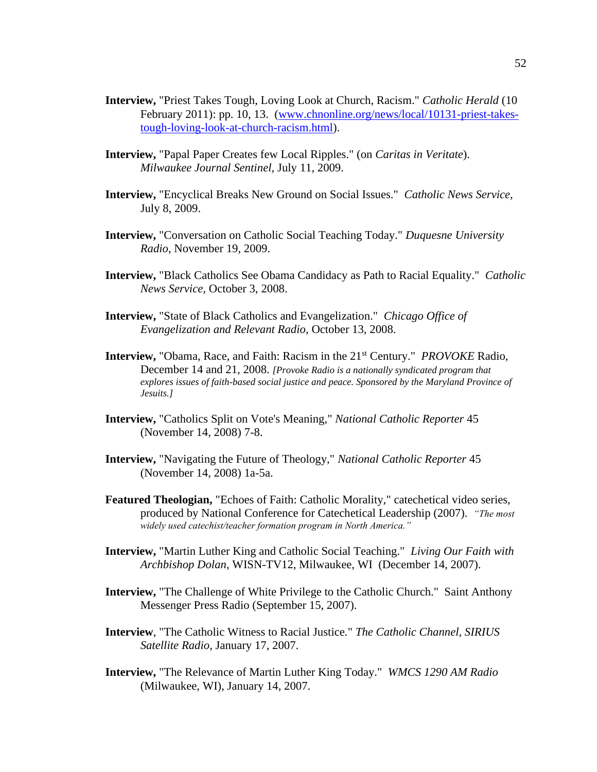- **Interview,** "Priest Takes Tough, Loving Look at Church, Racism." *Catholic Herald* (10 February 2011): pp. 10, 13. [\(www.chnonline.org/news/local/10131-priest-takes](http://www.chnonline.org/news/local/10131-priest-takes-tough-loving-look-at-church-racism.html)[tough-loving-look-at-church-racism.html\)](http://www.chnonline.org/news/local/10131-priest-takes-tough-loving-look-at-church-racism.html).
- **Interview,** "Papal Paper Creates few Local Ripples." (on *Caritas in Veritate*). *Milwaukee Journal Sentinel,* July 11, 2009.
- **Interview,** "Encyclical Breaks New Ground on Social Issues." *Catholic News Service,* July 8, 2009.
- **Interview,** "Conversation on Catholic Social Teaching Today." *Duquesne University Radio*, November 19, 2009.
- **Interview,** "Black Catholics See Obama Candidacy as Path to Racial Equality." *Catholic News Service,* October 3, 2008.
- **Interview,** "State of Black Catholics and Evangelization." *Chicago Office of Evangelization and Relevant Radio*, October 13, 2008.
- **Interview,** "Obama, Race, and Faith: Racism in the 21<sup>st</sup> Century." *PROVOKE* Radio, December 14 and 21, 2008. *[Provoke Radio is a nationally syndicated program that explores issues of faith-based social justice and peace. Sponsored by the Maryland Province of Jesuits.]*
- **Interview,** "Catholics Split on Vote's Meaning," *National Catholic Reporter* 45 (November 14, 2008) 7-8.
- **Interview,** "Navigating the Future of Theology," *National Catholic Reporter* 45 (November 14, 2008) 1a-5a.
- **Featured Theologian,** "Echoes of Faith: Catholic Morality," catechetical video series, produced by National Conference for Catechetical Leadership (2007). *"The most widely used catechist/teacher formation program in North America."*
- **Interview,** "Martin Luther King and Catholic Social Teaching." *Living Our Faith with Archbishop Dolan*, WISN-TV12, Milwaukee, WI (December 14, 2007).
- **Interview,** "The Challenge of White Privilege to the Catholic Church." Saint Anthony Messenger Press Radio (September 15, 2007).
- **Interview**, "The Catholic Witness to Racial Justice*.*" *The Catholic Channel, SIRIUS Satellite Radio*, January 17, 2007.
- **Interview,** "The Relevance of Martin Luther King Today." *WMCS 1290 AM Radio* (Milwaukee, WI), January 14, 2007.